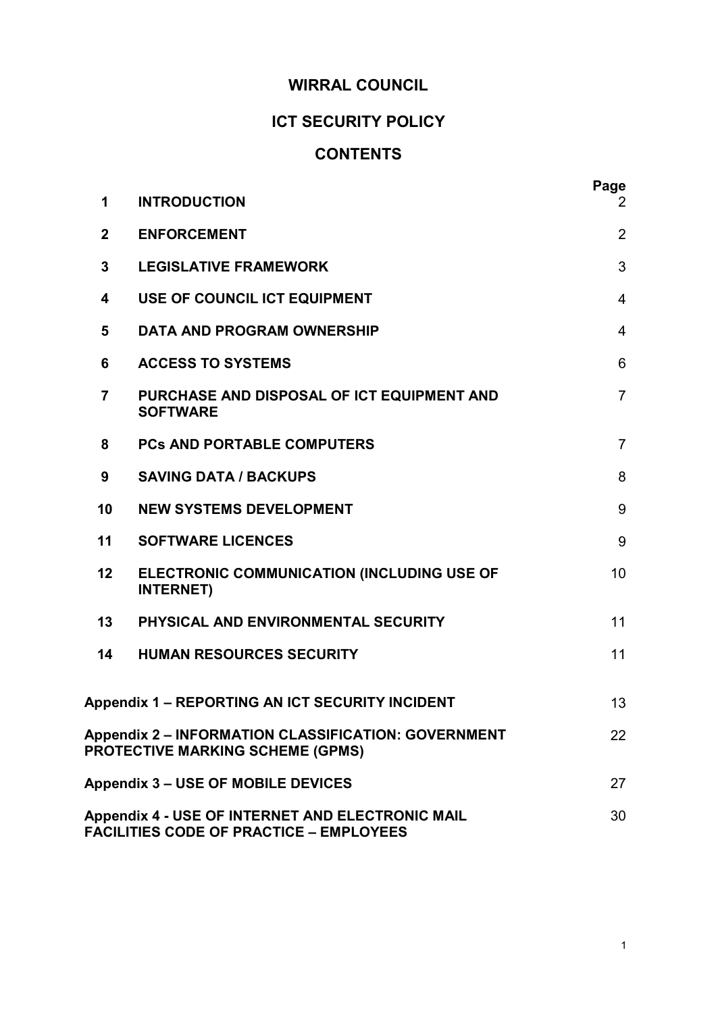# WIRRAL COUNCIL

# ICT SECURITY POLICY

# **CONTENTS**

| 1              | <b>INTRODUCTION</b>                                                                                   | Page<br>$\overline{2}$ |
|----------------|-------------------------------------------------------------------------------------------------------|------------------------|
| $\overline{2}$ | <b>ENFORCEMENT</b>                                                                                    | $\overline{2}$         |
| 3              | <b>LEGISLATIVE FRAMEWORK</b>                                                                          | 3                      |
| 4              | USE OF COUNCIL ICT EQUIPMENT                                                                          | $\overline{4}$         |
| 5              | <b>DATA AND PROGRAM OWNERSHIP</b>                                                                     | $\overline{4}$         |
| 6              | <b>ACCESS TO SYSTEMS</b>                                                                              | 6                      |
| $\overline{7}$ | PURCHASE AND DISPOSAL OF ICT EQUIPMENT AND<br><b>SOFTWARE</b>                                         | $\overline{7}$         |
| 8              | <b>PCs AND PORTABLE COMPUTERS</b>                                                                     | $\overline{7}$         |
| 9              | <b>SAVING DATA / BACKUPS</b>                                                                          | 8                      |
| 10             | <b>NEW SYSTEMS DEVELOPMENT</b>                                                                        | 9                      |
| 11             | <b>SOFTWARE LICENCES</b>                                                                              | 9                      |
| 12             | ELECTRONIC COMMUNICATION (INCLUDING USE OF<br><b>INTERNET)</b>                                        | 10                     |
| 13             | PHYSICAL AND ENVIRONMENTAL SECURITY                                                                   | 11                     |
| 14             | <b>HUMAN RESOURCES SECURITY</b>                                                                       | 11                     |
|                | <b>Appendix 1 - REPORTING AN ICT SECURITY INCIDENT</b>                                                | 13                     |
|                | <b>Appendix 2 - INFORMATION CLASSIFICATION: GOVERNMENT</b><br><b>PROTECTIVE MARKING SCHEME (GPMS)</b> | 22                     |
|                | <b>Appendix 3 - USE OF MOBILE DEVICES</b>                                                             | 27                     |
|                | Appendix 4 - USE OF INTERNET AND ELECTRONIC MAIL<br><b>FACILITIES CODE OF PRACTICE - EMPLOYEES</b>    | 30                     |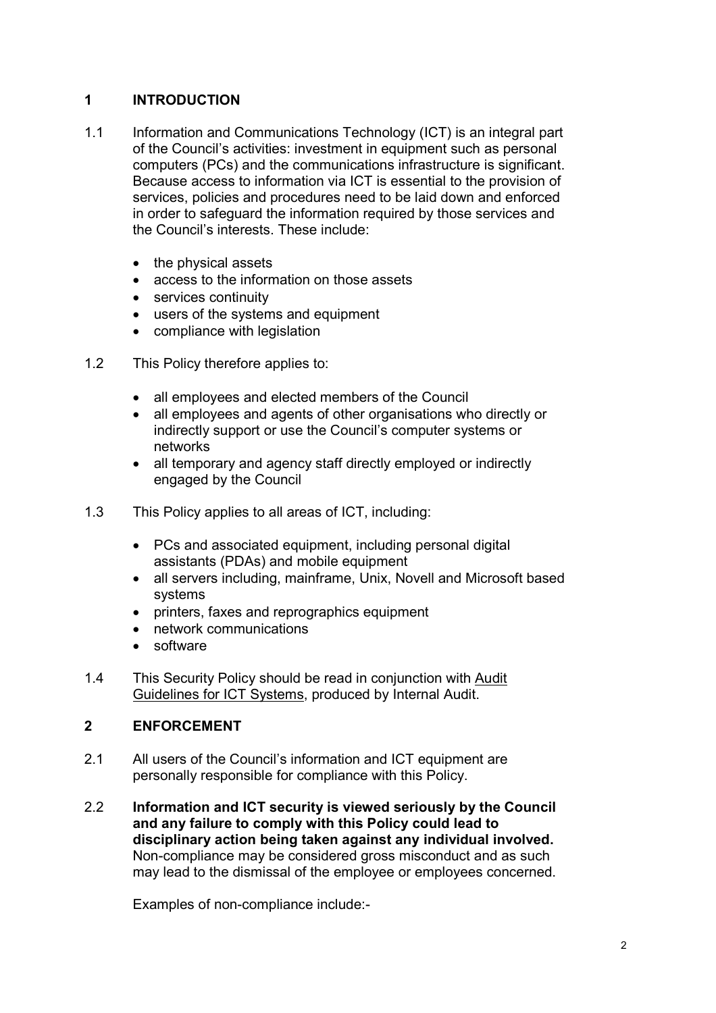# 1 INTRODUCTION

- 1.1 Information and Communications Technology (ICT) is an integral part of the Council's activities: investment in equipment such as personal computers (PCs) and the communications infrastructure is significant. Because access to information via ICT is essential to the provision of services, policies and procedures need to be laid down and enforced in order to safeguard the information required by those services and the Council's interests. These include:
	- the physical assets
	- access to the information on those assets
	- services continuity
	- users of the systems and equipment
	- compliance with legislation
- 1.2 This Policy therefore applies to:
	- all employees and elected members of the Council
	- all employees and agents of other organisations who directly or indirectly support or use the Council's computer systems or networks
	- all temporary and agency staff directly employed or indirectly engaged by the Council
- 1.3 This Policy applies to all areas of ICT, including:
	- PCs and associated equipment, including personal digital assistants (PDAs) and mobile equipment
	- all servers including, mainframe, Unix, Novell and Microsoft based systems
	- printers, faxes and reprographics equipment
	- network communications
	- software
- 1.4 This Security Policy should be read in conjunction with Audit Guidelines for ICT Systems, produced by Internal Audit.

# 2 ENFORCEMENT

- 2.1 All users of the Council's information and ICT equipment are personally responsible for compliance with this Policy.
- 2.2 Information and ICT security is viewed seriously by the Council and any failure to comply with this Policy could lead to disciplinary action being taken against any individual involved. Non-compliance may be considered gross misconduct and as such may lead to the dismissal of the employee or employees concerned.

Examples of non-compliance include:-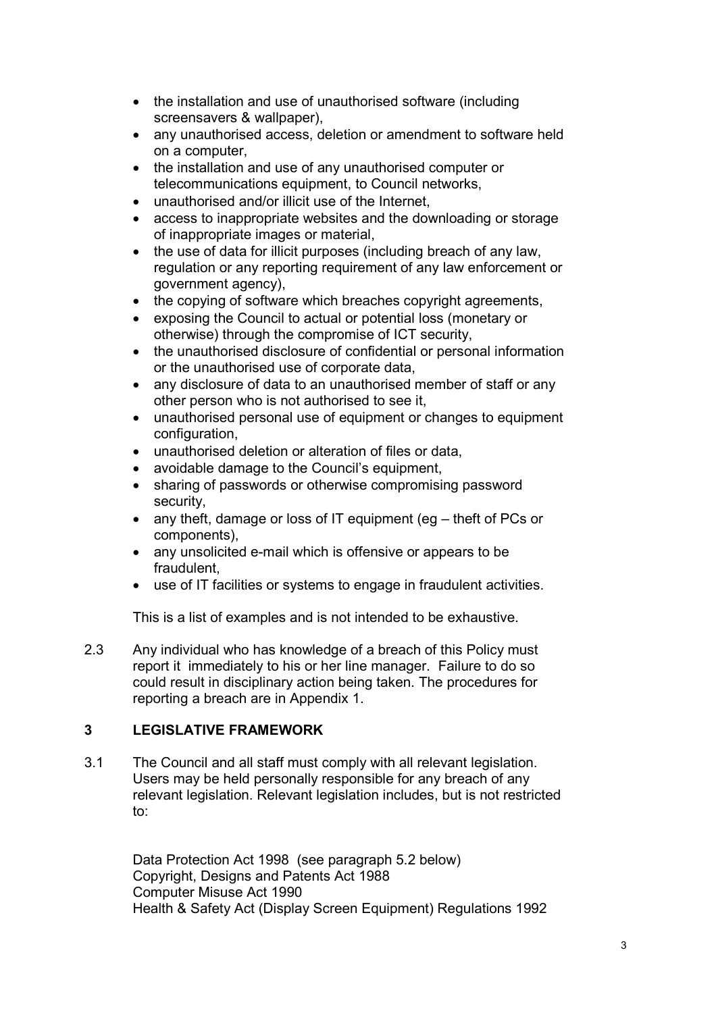- the installation and use of unauthorised software (including screensavers & wallpaper),
- any unauthorised access, deletion or amendment to software held on a computer,
- the installation and use of any unauthorised computer or telecommunications equipment, to Council networks,
- unauthorised and/or illicit use of the Internet,
- access to inappropriate websites and the downloading or storage of inappropriate images or material,
- the use of data for illicit purposes (including breach of any law, regulation or any reporting requirement of any law enforcement or government agency),
- the copying of software which breaches copyright agreements,
- exposing the Council to actual or potential loss (monetary or otherwise) through the compromise of ICT security,
- the unauthorised disclosure of confidential or personal information or the unauthorised use of corporate data,
- any disclosure of data to an unauthorised member of staff or any other person who is not authorised to see it,
- unauthorised personal use of equipment or changes to equipment configuration,
- unauthorised deletion or alteration of files or data,
- avoidable damage to the Council's equipment,
- sharing of passwords or otherwise compromising password security,
- any theft, damage or loss of IT equipment (eg theft of PCs or components),
- any unsolicited e-mail which is offensive or appears to be fraudulent,
- use of IT facilities or systems to engage in fraudulent activities.

This is a list of examples and is not intended to be exhaustive.

2.3 Any individual who has knowledge of a breach of this Policy must report it immediately to his or her line manager. Failure to do so could result in disciplinary action being taken. The procedures for reporting a breach are in Appendix 1.

# 3 LEGISLATIVE FRAMEWORK

3.1 The Council and all staff must comply with all relevant legislation. Users may be held personally responsible for any breach of any relevant legislation. Relevant legislation includes, but is not restricted to:

> Data Protection Act 1998 (see paragraph 5.2 below) Copyright, Designs and Patents Act 1988 Computer Misuse Act 1990 Health & Safety Act (Display Screen Equipment) Regulations 1992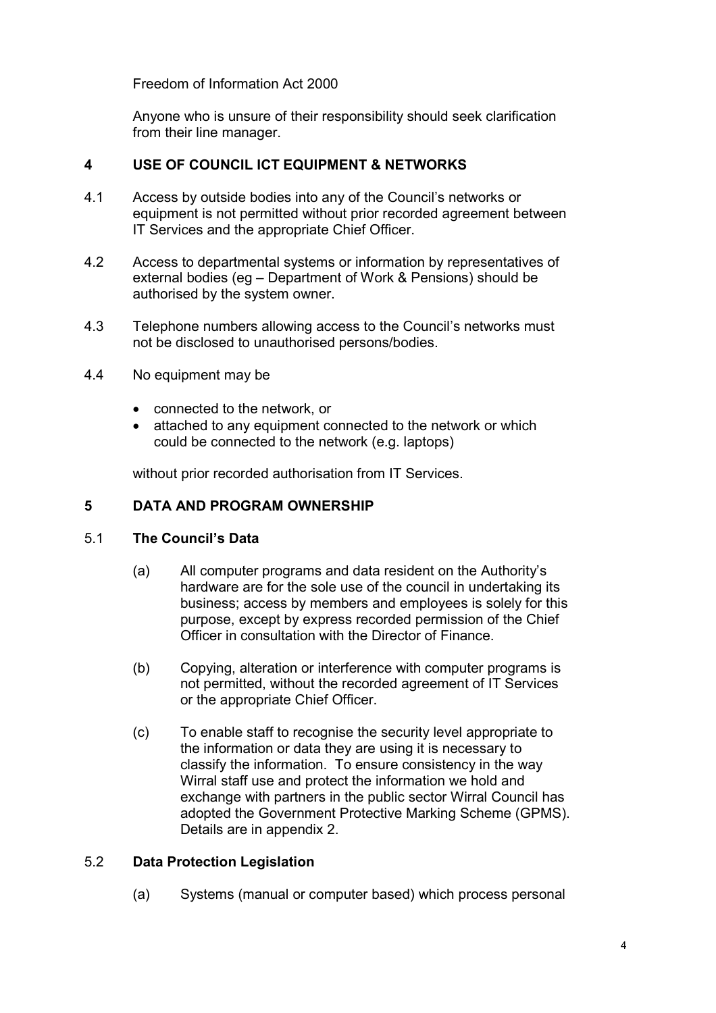Freedom of Information Act 2000

Anyone who is unsure of their responsibility should seek clarification from their line manager.

### 4 USE OF COUNCIL ICT EQUIPMENT & NETWORKS

- 4.1 Access by outside bodies into any of the Council's networks or equipment is not permitted without prior recorded agreement between IT Services and the appropriate Chief Officer.
- 4.2 Access to departmental systems or information by representatives of external bodies (eg – Department of Work & Pensions) should be authorised by the system owner.
- 4.3 Telephone numbers allowing access to the Council's networks must not be disclosed to unauthorised persons/bodies.
- 4.4 No equipment may be
	- connected to the network, or
	- attached to any equipment connected to the network or which could be connected to the network (e.g. laptops)

without prior recorded authorisation from IT Services.

#### 5 DATA AND PROGRAM OWNERSHIP

#### 5.1 The Council's Data

- (a) All computer programs and data resident on the Authority's hardware are for the sole use of the council in undertaking its business; access by members and employees is solely for this purpose, except by express recorded permission of the Chief Officer in consultation with the Director of Finance.
- (b) Copying, alteration or interference with computer programs is not permitted, without the recorded agreement of IT Services or the appropriate Chief Officer.
- (c) To enable staff to recognise the security level appropriate to the information or data they are using it is necessary to classify the information. To ensure consistency in the way Wirral staff use and protect the information we hold and exchange with partners in the public sector Wirral Council has adopted the Government Protective Marking Scheme (GPMS). Details are in appendix 2.

#### 5.2 Data Protection Legislation

(a) Systems (manual or computer based) which process personal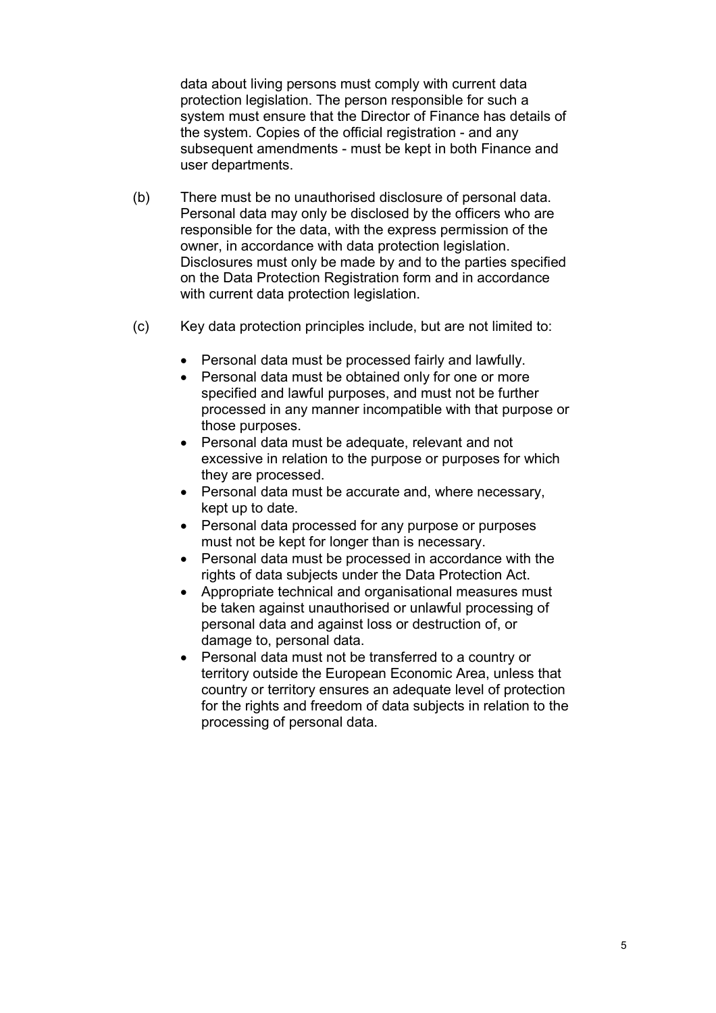data about living persons must comply with current data protection legislation. The person responsible for such a system must ensure that the Director of Finance has details of the system. Copies of the official registration - and any subsequent amendments - must be kept in both Finance and user departments.

- (b) There must be no unauthorised disclosure of personal data. Personal data may only be disclosed by the officers who are responsible for the data, with the express permission of the owner, in accordance with data protection legislation. Disclosures must only be made by and to the parties specified on the Data Protection Registration form and in accordance with current data protection legislation.
- (c) Key data protection principles include, but are not limited to:
	- Personal data must be processed fairly and lawfully.
	- Personal data must be obtained only for one or more specified and lawful purposes, and must not be further processed in any manner incompatible with that purpose or those purposes.
	- Personal data must be adequate, relevant and not excessive in relation to the purpose or purposes for which they are processed.
	- Personal data must be accurate and, where necessary, kept up to date.
	- Personal data processed for any purpose or purposes must not be kept for longer than is necessary.
	- Personal data must be processed in accordance with the rights of data subjects under the Data Protection Act.
	- Appropriate technical and organisational measures must be taken against unauthorised or unlawful processing of personal data and against loss or destruction of, or damage to, personal data.
	- Personal data must not be transferred to a country or territory outside the European Economic Area, unless that country or territory ensures an adequate level of protection for the rights and freedom of data subjects in relation to the processing of personal data.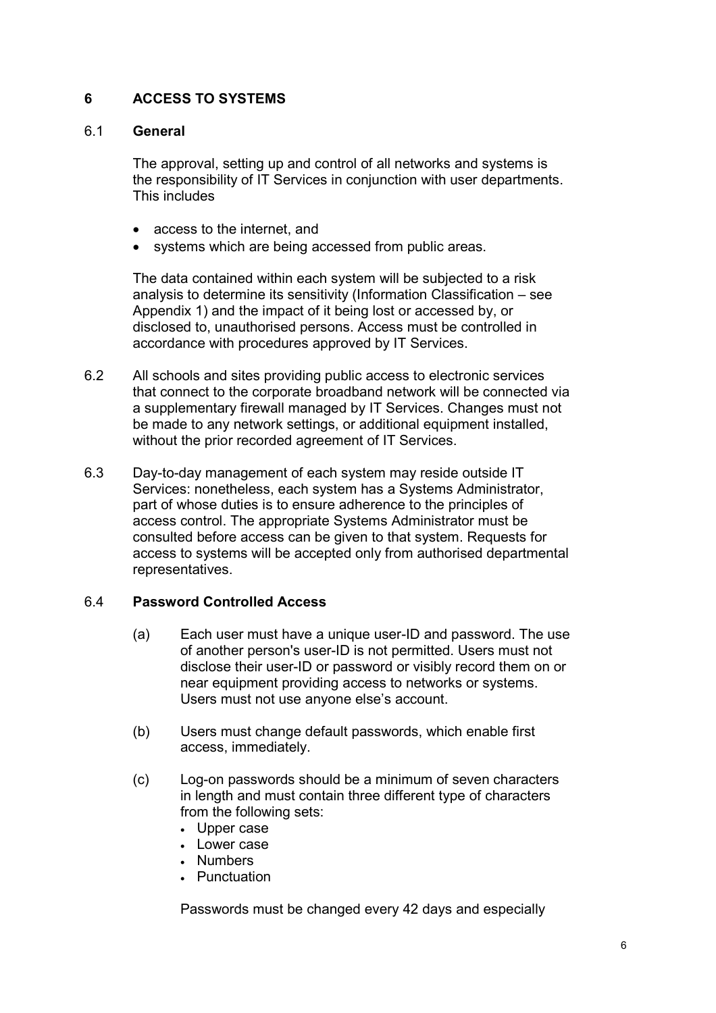#### 6 ACCESS TO SYSTEMS

#### 6.1 General

 The approval, setting up and control of all networks and systems is the responsibility of IT Services in conjunction with user departments. This includes

- access to the internet, and
- systems which are being accessed from public areas.

The data contained within each system will be subjected to a risk analysis to determine its sensitivity (Information Classification – see Appendix 1) and the impact of it being lost or accessed by, or disclosed to, unauthorised persons. Access must be controlled in accordance with procedures approved by IT Services.

- 6.2 All schools and sites providing public access to electronic services that connect to the corporate broadband network will be connected via a supplementary firewall managed by IT Services. Changes must not be made to any network settings, or additional equipment installed, without the prior recorded agreement of IT Services.
- 6.3 Day-to-day management of each system may reside outside IT Services: nonetheless, each system has a Systems Administrator, part of whose duties is to ensure adherence to the principles of access control. The appropriate Systems Administrator must be consulted before access can be given to that system. Requests for access to systems will be accepted only from authorised departmental representatives.

#### 6.4 Password Controlled Access

- (a) Each user must have a unique user-ID and password. The use of another person's user-ID is not permitted. Users must not disclose their user-ID or password or visibly record them on or near equipment providing access to networks or systems. Users must not use anyone else's account.
- (b) Users must change default passwords, which enable first access, immediately.
- (c) Log-on passwords should be a minimum of seven characters in length and must contain three different type of characters from the following sets:
	- Upper case
	- Lower case
	- Numbers
	- Punctuation

Passwords must be changed every 42 days and especially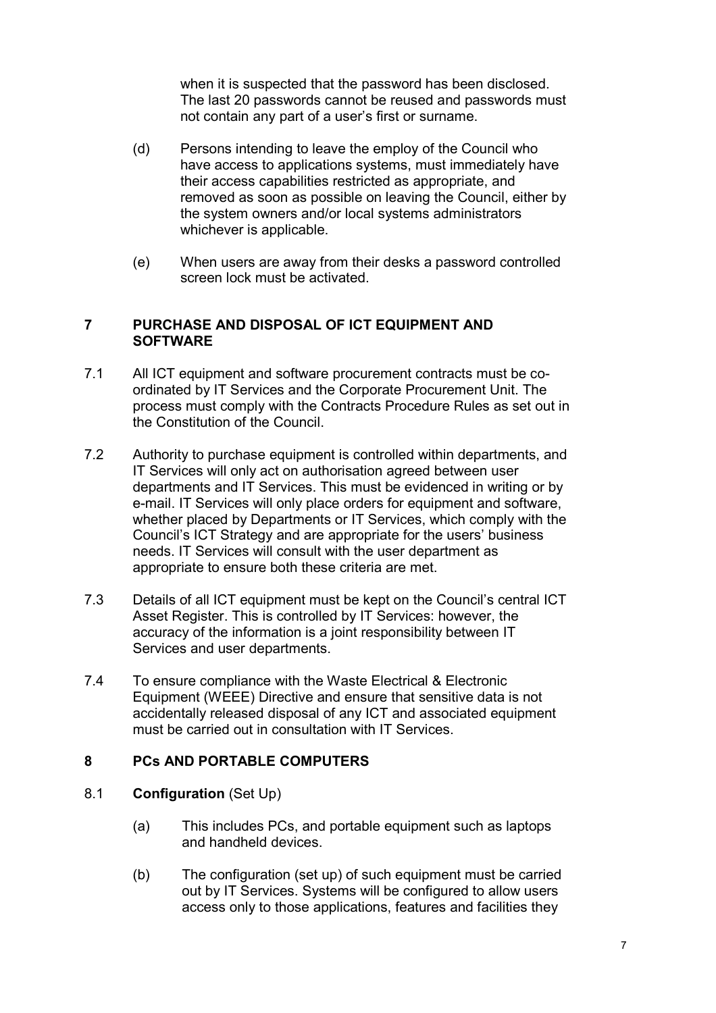when it is suspected that the password has been disclosed. The last 20 passwords cannot be reused and passwords must not contain any part of a user's first or surname.

- (d) Persons intending to leave the employ of the Council who have access to applications systems, must immediately have their access capabilities restricted as appropriate, and removed as soon as possible on leaving the Council, either by the system owners and/or local systems administrators whichever is applicable.
- (e) When users are away from their desks a password controlled screen lock must be activated.

#### 7 PURCHASE AND DISPOSAL OF ICT EQUIPMENT AND **SOFTWARE**

- 7.1 All ICT equipment and software procurement contracts must be coordinated by IT Services and the Corporate Procurement Unit. The process must comply with the Contracts Procedure Rules as set out in the Constitution of the Council.
- 7.2 Authority to purchase equipment is controlled within departments, and IT Services will only act on authorisation agreed between user departments and IT Services. This must be evidenced in writing or by e-mail. IT Services will only place orders for equipment and software, whether placed by Departments or IT Services, which comply with the Council's ICT Strategy and are appropriate for the users' business needs. IT Services will consult with the user department as appropriate to ensure both these criteria are met.
- 7.3 Details of all ICT equipment must be kept on the Council's central ICT Asset Register. This is controlled by IT Services: however, the accuracy of the information is a joint responsibility between IT Services and user departments.
- 7.4 To ensure compliance with the Waste Electrical & Electronic Equipment (WEEE) Directive and ensure that sensitive data is not accidentally released disposal of any ICT and associated equipment must be carried out in consultation with IT Services.

#### 8 PCs AND PORTABLE COMPUTERS

#### 8.1 Configuration (Set Up)

- (a) This includes PCs, and portable equipment such as laptops and handheld devices.
- (b) The configuration (set up) of such equipment must be carried out by IT Services. Systems will be configured to allow users access only to those applications, features and facilities they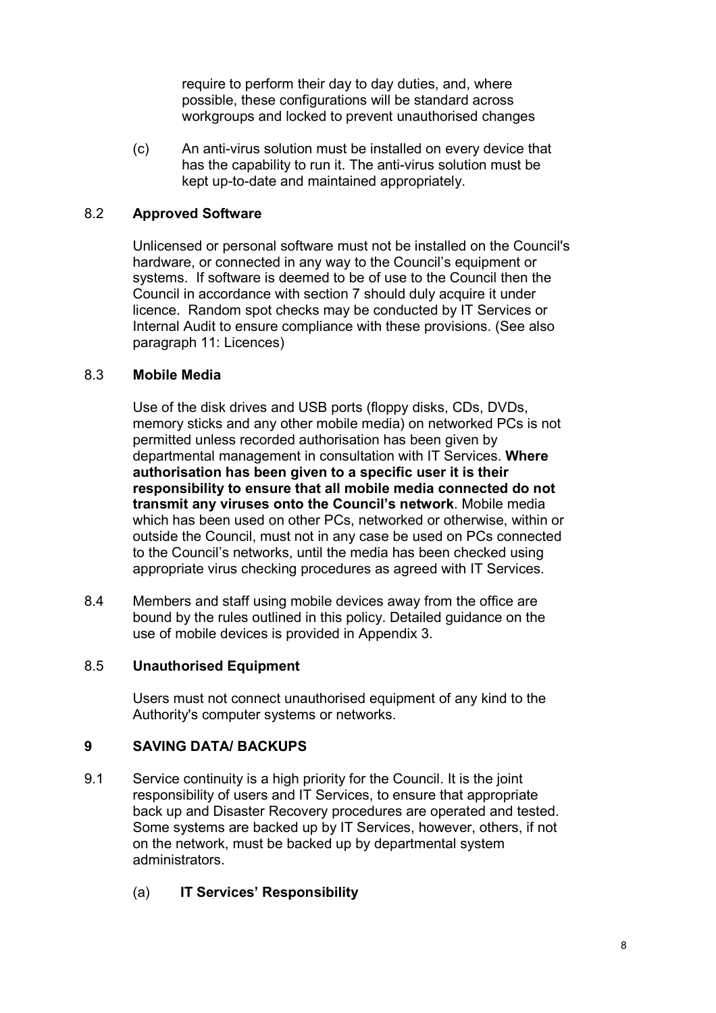require to perform their day to day duties, and, where possible, these configurations will be standard across workgroups and locked to prevent unauthorised changes

 (c) An anti-virus solution must be installed on every device that has the capability to run it. The anti-virus solution must be kept up-to-date and maintained appropriately.

#### 8.2 Approved Software

Unlicensed or personal software must not be installed on the Council's hardware, or connected in any way to the Council's equipment or systems. If software is deemed to be of use to the Council then the Council in accordance with section 7 should duly acquire it under licence. Random spot checks may be conducted by IT Services or Internal Audit to ensure compliance with these provisions. (See also paragraph 11: Licences)

#### 8.3 Mobile Media

Use of the disk drives and USB ports (floppy disks, CDs, DVDs, memory sticks and any other mobile media) on networked PCs is not permitted unless recorded authorisation has been given by departmental management in consultation with IT Services. Where authorisation has been given to a specific user it is their responsibility to ensure that all mobile media connected do not transmit any viruses onto the Council's network. Mobile media which has been used on other PCs, networked or otherwise, within or outside the Council, must not in any case be used on PCs connected to the Council's networks, until the media has been checked using appropriate virus checking procedures as agreed with IT Services.

8.4 Members and staff using mobile devices away from the office are bound by the rules outlined in this policy. Detailed guidance on the use of mobile devices is provided in Appendix 3.

#### 8.5 Unauthorised Equipment

Users must not connect unauthorised equipment of any kind to the Authority's computer systems or networks.

# 9 SAVING DATA/ BACKUPS

- 9.1 Service continuity is a high priority for the Council. It is the joint responsibility of users and IT Services, to ensure that appropriate back up and Disaster Recovery procedures are operated and tested. Some systems are backed up by IT Services, however, others, if not on the network, must be backed up by departmental system administrators.
	- (a) IT Services' Responsibility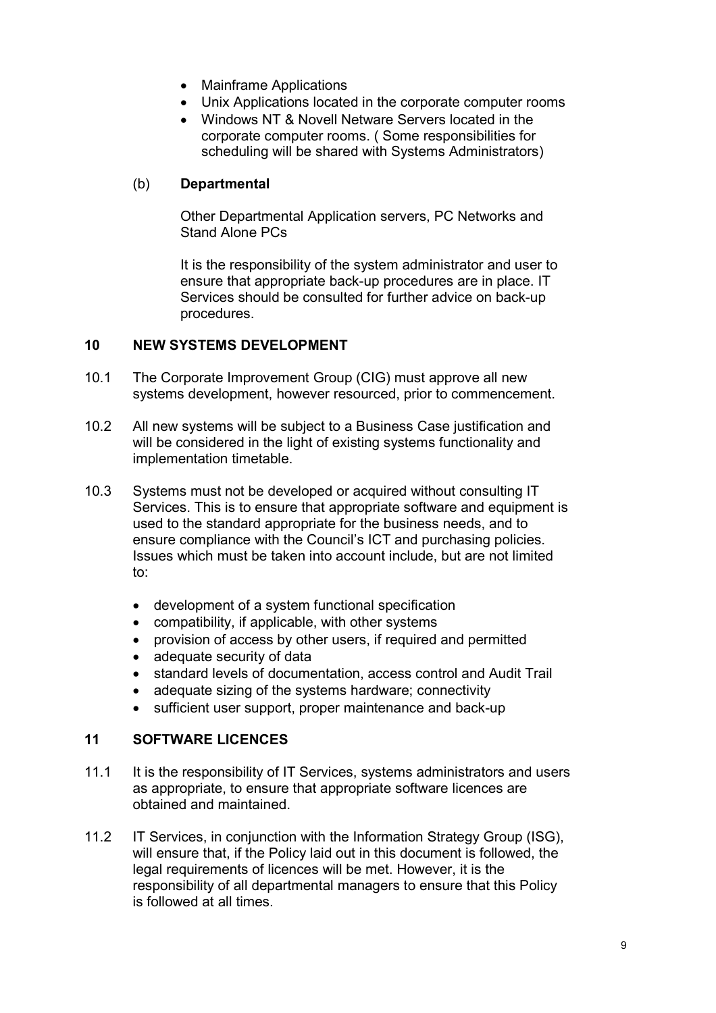- Mainframe Applications
- Unix Applications located in the corporate computer rooms
- Windows NT & Novell Netware Servers located in the corporate computer rooms. ( Some responsibilities for scheduling will be shared with Systems Administrators)

#### (b) Departmental

Other Departmental Application servers, PC Networks and Stand Alone PCs

It is the responsibility of the system administrator and user to ensure that appropriate back-up procedures are in place. IT Services should be consulted for further advice on back-up procedures.

#### 10 NEW SYSTEMS DEVELOPMENT

- 10.1 The Corporate Improvement Group (CIG) must approve all new systems development, however resourced, prior to commencement.
- 10.2 All new systems will be subject to a Business Case justification and will be considered in the light of existing systems functionality and implementation timetable.
- 10.3 Systems must not be developed or acquired without consulting IT Services. This is to ensure that appropriate software and equipment is used to the standard appropriate for the business needs, and to ensure compliance with the Council's ICT and purchasing policies. Issues which must be taken into account include, but are not limited to:
	- development of a system functional specification
	- compatibility, if applicable, with other systems
	- provision of access by other users, if required and permitted
	- adequate security of data
	- standard levels of documentation, access control and Audit Trail
	- adequate sizing of the systems hardware; connectivity
	- sufficient user support, proper maintenance and back-up

#### 11 SOFTWARE LICENCES

- 11.1 It is the responsibility of IT Services, systems administrators and users as appropriate, to ensure that appropriate software licences are obtained and maintained.
- 11.2 IT Services, in conjunction with the Information Strategy Group (ISG), will ensure that, if the Policy laid out in this document is followed, the legal requirements of licences will be met. However, it is the responsibility of all departmental managers to ensure that this Policy is followed at all times.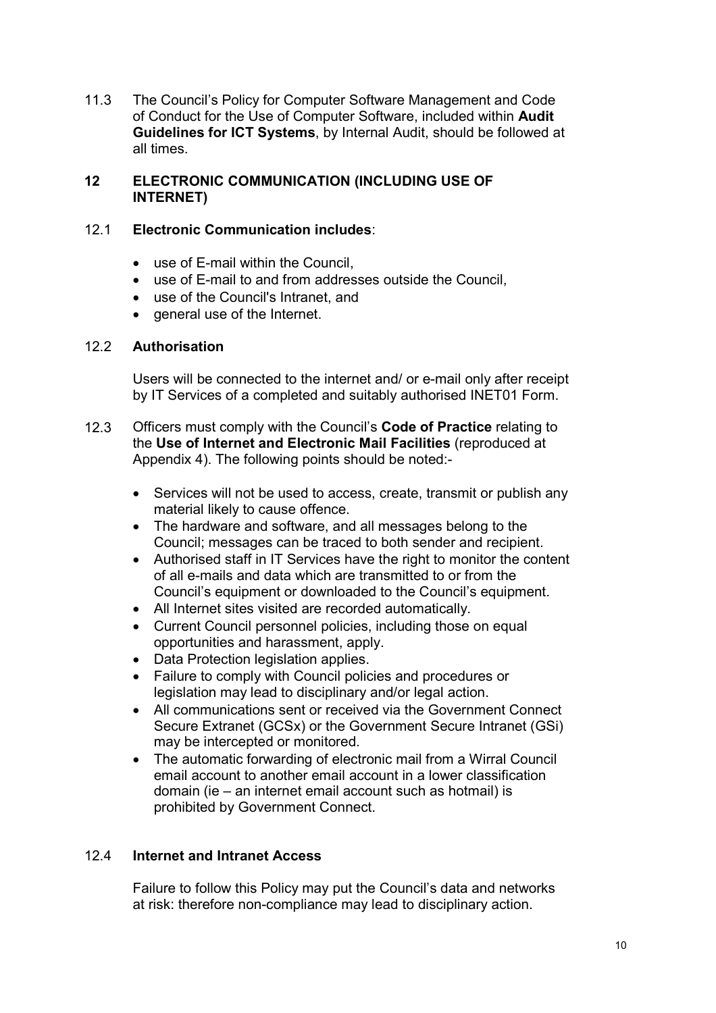11.3 The Council's Policy for Computer Software Management and Code of Conduct for the Use of Computer Software, included within Audit Guidelines for ICT Systems, by Internal Audit, should be followed at all times.

#### 12 ELECTRONIC COMMUNICATION (INCLUDING USE OF INTERNET)

### 12.1 Electronic Communication includes:

- use of E-mail within the Council.
- use of E-mail to and from addresses outside the Council,
- use of the Council's Intranet, and
- general use of the Internet.

#### 12.2 Authorisation

Users will be connected to the internet and/ or e-mail only after receipt by IT Services of a completed and suitably authorised INET01 Form.

- 12.3 Officers must comply with the Council's Code of Practice relating to the Use of Internet and Electronic Mail Facilities (reproduced at Appendix 4). The following points should be noted:-
	- Services will not be used to access, create, transmit or publish any material likely to cause offence.
	- The hardware and software, and all messages belong to the Council; messages can be traced to both sender and recipient.
	- Authorised staff in IT Services have the right to monitor the content of all e-mails and data which are transmitted to or from the Council's equipment or downloaded to the Council's equipment.
	- All Internet sites visited are recorded automatically.
	- Current Council personnel policies, including those on equal opportunities and harassment, apply.
	- Data Protection legislation applies.
	- Failure to comply with Council policies and procedures or legislation may lead to disciplinary and/or legal action.
	- All communications sent or received via the Government Connect Secure Extranet (GCSx) or the Government Secure Intranet (GSi) may be intercepted or monitored.
	- The automatic forwarding of electronic mail from a Wirral Council email account to another email account in a lower classification domain (ie – an internet email account such as hotmail) is prohibited by Government Connect.

#### 12.4 Internet and Intranet Access

 Failure to follow this Policy may put the Council's data and networks at risk: therefore non-compliance may lead to disciplinary action.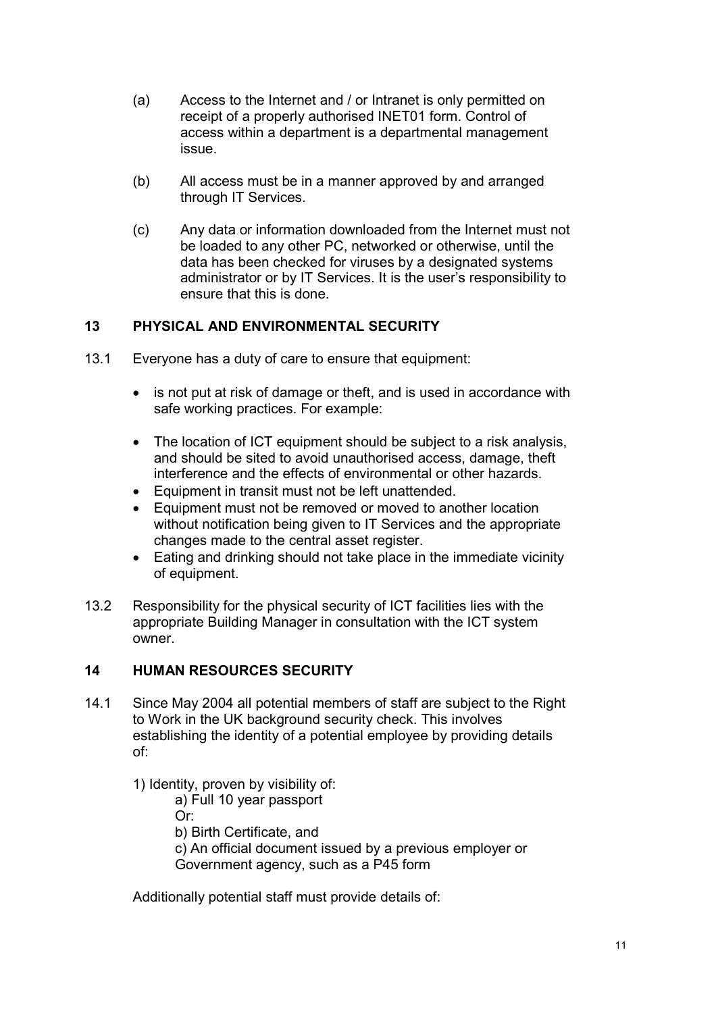- (a) Access to the Internet and / or Intranet is only permitted on receipt of a properly authorised INET01 form. Control of access within a department is a departmental management issue.
- (b) All access must be in a manner approved by and arranged through IT Services.
- (c) Any data or information downloaded from the Internet must not be loaded to any other PC, networked or otherwise, until the data has been checked for viruses by a designated systems administrator or by IT Services. It is the user's responsibility to ensure that this is done.

### 13 PHYSICAL AND ENVIRONMENTAL SECURITY

- 13.1 Everyone has a duty of care to ensure that equipment:
	- is not put at risk of damage or theft, and is used in accordance with safe working practices. For example:
	- The location of ICT equipment should be subject to a risk analysis, and should be sited to avoid unauthorised access, damage, theft interference and the effects of environmental or other hazards.
	- Equipment in transit must not be left unattended.
	- Equipment must not be removed or moved to another location without notification being given to IT Services and the appropriate changes made to the central asset register.
	- Eating and drinking should not take place in the immediate vicinity of equipment.
- 13.2 Responsibility for the physical security of ICT facilities lies with the appropriate Building Manager in consultation with the ICT system owner.

#### 14 HUMAN RESOURCES SECURITY

- 14.1 Since May 2004 all potential members of staff are subject to the Right to Work in the UK background security check. This involves establishing the identity of a potential employee by providing details of:
	- 1) Identity, proven by visibility of:

a) Full 10 year passport

Or:

b) Birth Certificate, and

 c) An official document issued by a previous employer or Government agency, such as a P45 form

Additionally potential staff must provide details of: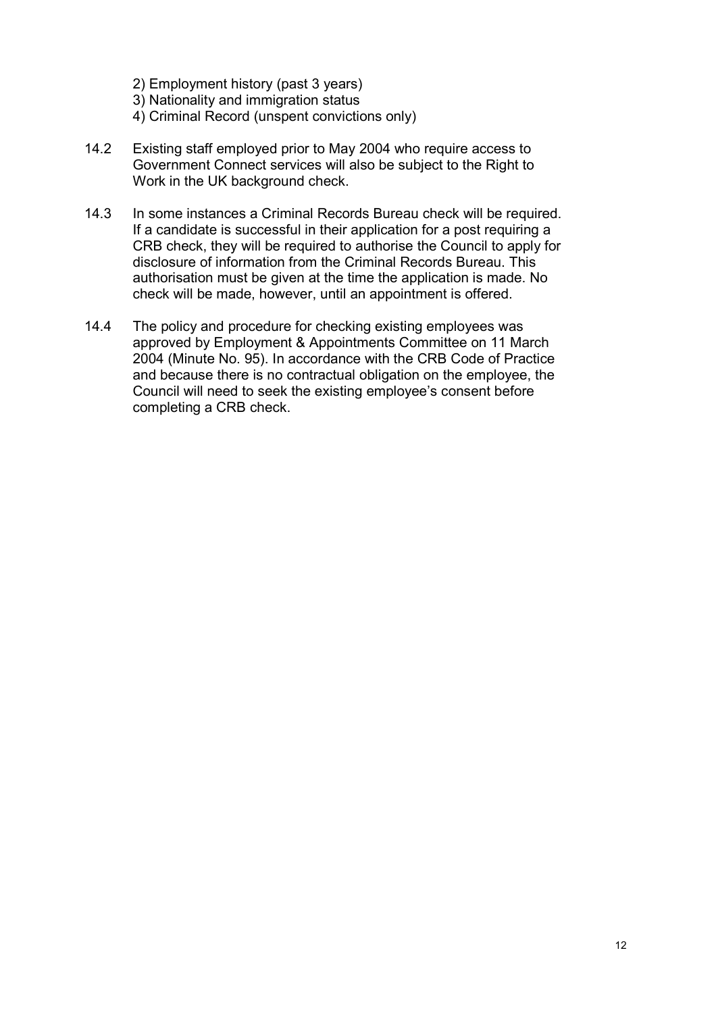- 2) Employment history (past 3 years)
- 3) Nationality and immigration status
- 4) Criminal Record (unspent convictions only)
- 14.2 Existing staff employed prior to May 2004 who require access to Government Connect services will also be subject to the Right to Work in the UK background check.
- 14.3 In some instances a Criminal Records Bureau check will be required. If a candidate is successful in their application for a post requiring a CRB check, they will be required to authorise the Council to apply for disclosure of information from the Criminal Records Bureau. This authorisation must be given at the time the application is made. No check will be made, however, until an appointment is offered.
- 14.4 The policy and procedure for checking existing employees was approved by Employment & Appointments Committee on 11 March 2004 (Minute No. 95). In accordance with the CRB Code of Practice and because there is no contractual obligation on the employee, the Council will need to seek the existing employee's consent before completing a CRB check.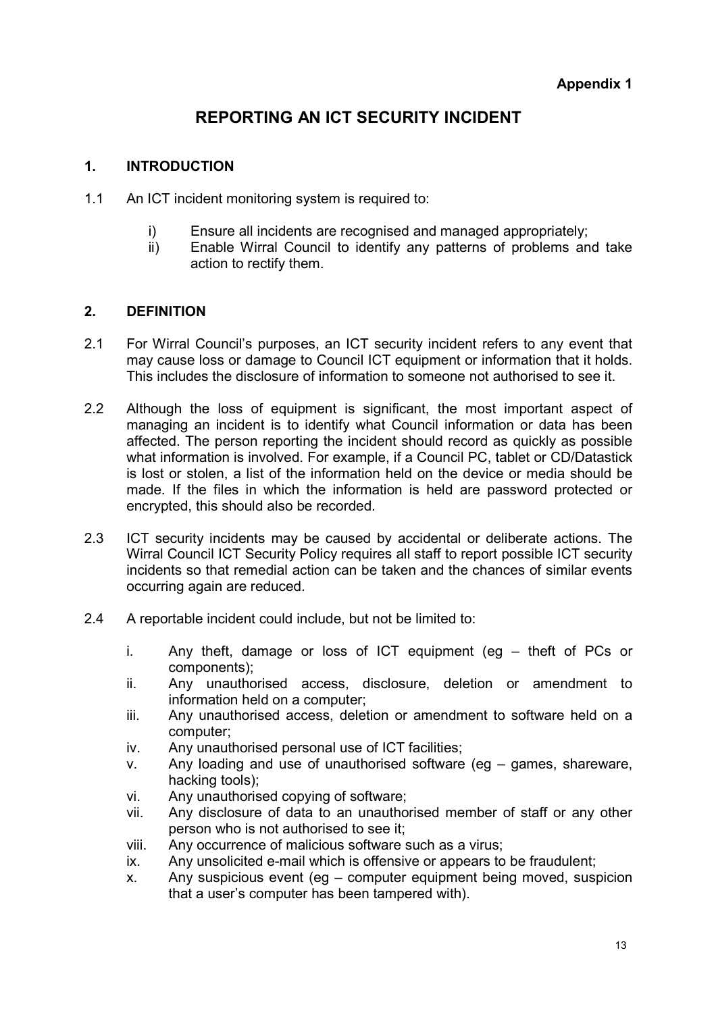# REPORTING AN ICT SECURITY INCIDENT

#### 1. INTRODUCTION

- 1.1 An ICT incident monitoring system is required to:
	- i) Ensure all incidents are recognised and managed appropriately;
	- ii) Enable Wirral Council to identify any patterns of problems and take action to rectify them.

#### 2. DEFINITION

- 2.1 For Wirral Council's purposes, an ICT security incident refers to any event that may cause loss or damage to Council ICT equipment or information that it holds. This includes the disclosure of information to someone not authorised to see it.
- 2.2 Although the loss of equipment is significant, the most important aspect of managing an incident is to identify what Council information or data has been affected. The person reporting the incident should record as quickly as possible what information is involved. For example, if a Council PC, tablet or CD/Datastick is lost or stolen, a list of the information held on the device or media should be made. If the files in which the information is held are password protected or encrypted, this should also be recorded.
- 2.3 ICT security incidents may be caused by accidental or deliberate actions. The Wirral Council ICT Security Policy requires all staff to report possible ICT security incidents so that remedial action can be taken and the chances of similar events occurring again are reduced.
- 2.4 A reportable incident could include, but not be limited to:
	- i. Any theft, damage or loss of ICT equipment (eg theft of PCs or components);
	- ii. Any unauthorised access, disclosure, deletion or amendment to information held on a computer;
	- iii. Any unauthorised access, deletion or amendment to software held on a computer;
	- iv. Any unauthorised personal use of ICT facilities;
	- v. Any loading and use of unauthorised software (eg games, shareware, hacking tools);
	- vi. Any unauthorised copying of software;
	- vii. Any disclosure of data to an unauthorised member of staff or any other person who is not authorised to see it;
	- viii. Any occurrence of malicious software such as a virus;
	- ix. Any unsolicited e-mail which is offensive or appears to be fraudulent;
	- x. Any suspicious event (eg computer equipment being moved, suspicion that a user's computer has been tampered with).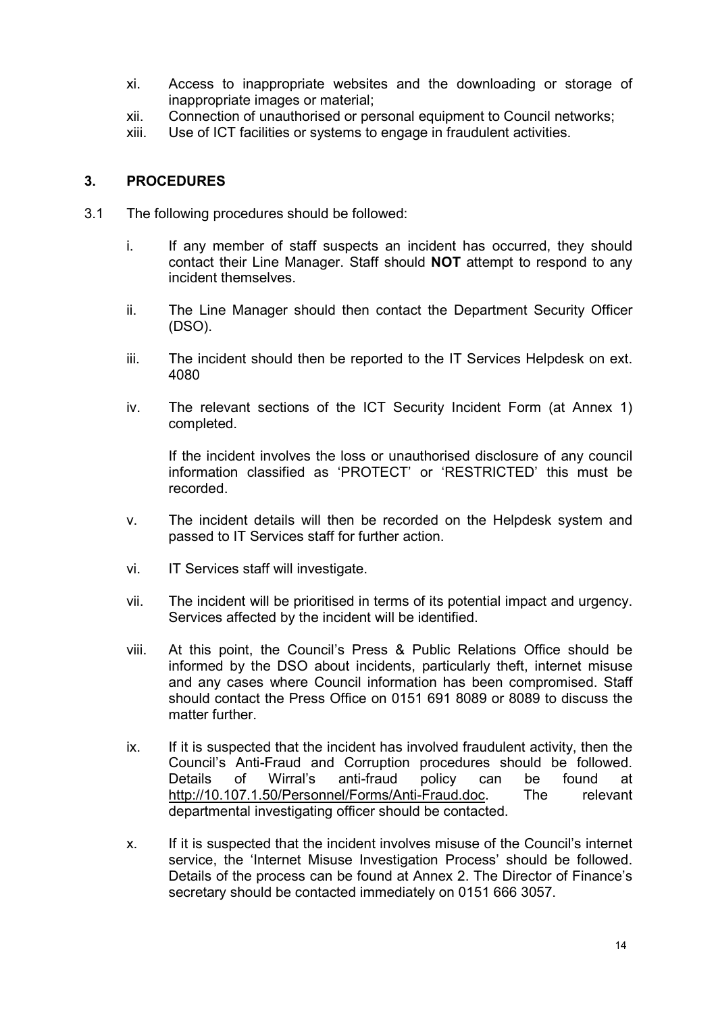- xi. Access to inappropriate websites and the downloading or storage of inappropriate images or material;
- xii. Connection of unauthorised or personal equipment to Council networks;
- xiii. Use of ICT facilities or systems to engage in fraudulent activities.

#### 3. PROCEDURES

- 3.1 The following procedures should be followed:
	- i. If any member of staff suspects an incident has occurred, they should contact their Line Manager. Staff should NOT attempt to respond to any incident themselves.
	- ii. The Line Manager should then contact the Department Security Officer (DSO).
	- iii. The incident should then be reported to the IT Services Helpdesk on ext. 4080
	- iv. The relevant sections of the ICT Security Incident Form (at Annex 1) completed.

If the incident involves the loss or unauthorised disclosure of any council information classified as 'PROTECT' or 'RESTRICTED' this must be recorded.

- v. The incident details will then be recorded on the Helpdesk system and passed to IT Services staff for further action.
- vi. IT Services staff will investigate.
- vii. The incident will be prioritised in terms of its potential impact and urgency. Services affected by the incident will be identified.
- viii. At this point, the Council's Press & Public Relations Office should be informed by the DSO about incidents, particularly theft, internet misuse and any cases where Council information has been compromised. Staff should contact the Press Office on 0151 691 8089 or 8089 to discuss the matter further.
- ix. If it is suspected that the incident has involved fraudulent activity, then the Council's Anti-Fraud and Corruption procedures should be followed. Details of Wirral's anti-fraud policy can be found at http://10.107.1.50/Personnel/Forms/Anti-Fraud.doc. The relevant departmental investigating officer should be contacted.
- x. If it is suspected that the incident involves misuse of the Council's internet service, the 'Internet Misuse Investigation Process' should be followed. Details of the process can be found at Annex 2. The Director of Finance's secretary should be contacted immediately on 0151 666 3057.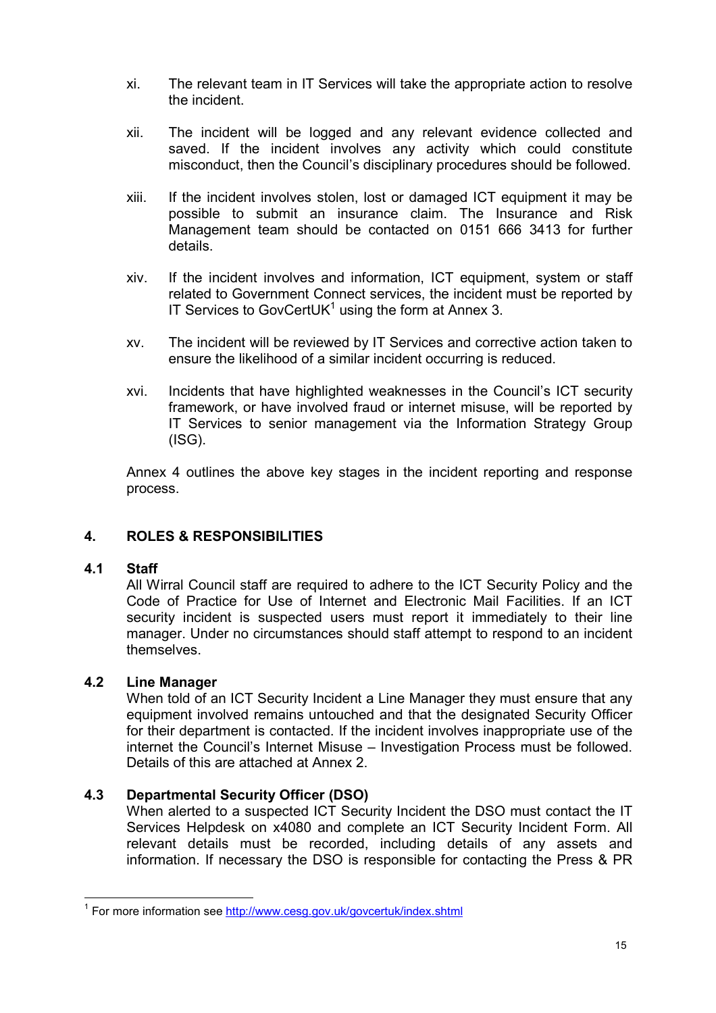- xi. The relevant team in IT Services will take the appropriate action to resolve the incident.
- xii. The incident will be logged and any relevant evidence collected and saved. If the incident involves any activity which could constitute misconduct, then the Council's disciplinary procedures should be followed.
- xiii. If the incident involves stolen, lost or damaged ICT equipment it may be possible to submit an insurance claim. The Insurance and Risk Management team should be contacted on 0151 666 3413 for further details.
- xiv. If the incident involves and information, ICT equipment, system or staff related to Government Connect services, the incident must be reported by IT Services to GovCertUK $1$  using the form at Annex 3.
- xv. The incident will be reviewed by IT Services and corrective action taken to ensure the likelihood of a similar incident occurring is reduced.
- xvi. Incidents that have highlighted weaknesses in the Council's ICT security framework, or have involved fraud or internet misuse, will be reported by IT Services to senior management via the Information Strategy Group  $(ISG)$ .

Annex 4 outlines the above key stages in the incident reporting and response process.

# 4. ROLES & RESPONSIBILITIES

#### 4.1 Staff

 $\overline{a}$ 

All Wirral Council staff are required to adhere to the ICT Security Policy and the Code of Practice for Use of Internet and Electronic Mail Facilities. If an ICT security incident is suspected users must report it immediately to their line manager. Under no circumstances should staff attempt to respond to an incident themselves.

#### 4.2 Line Manager

When told of an ICT Security Incident a Line Manager they must ensure that any equipment involved remains untouched and that the designated Security Officer for their department is contacted. If the incident involves inappropriate use of the internet the Council's Internet Misuse – Investigation Process must be followed. Details of this are attached at Annex 2.

#### 4.3 Departmental Security Officer (DSO)

When alerted to a suspected ICT Security Incident the DSO must contact the IT Services Helpdesk on x4080 and complete an ICT Security Incident Form. All relevant details must be recorded, including details of any assets and information. If necessary the DSO is responsible for contacting the Press & PR

<sup>&</sup>lt;sup>1</sup> For more information see http://www.cesg.gov.uk/govcertuk/index.shtml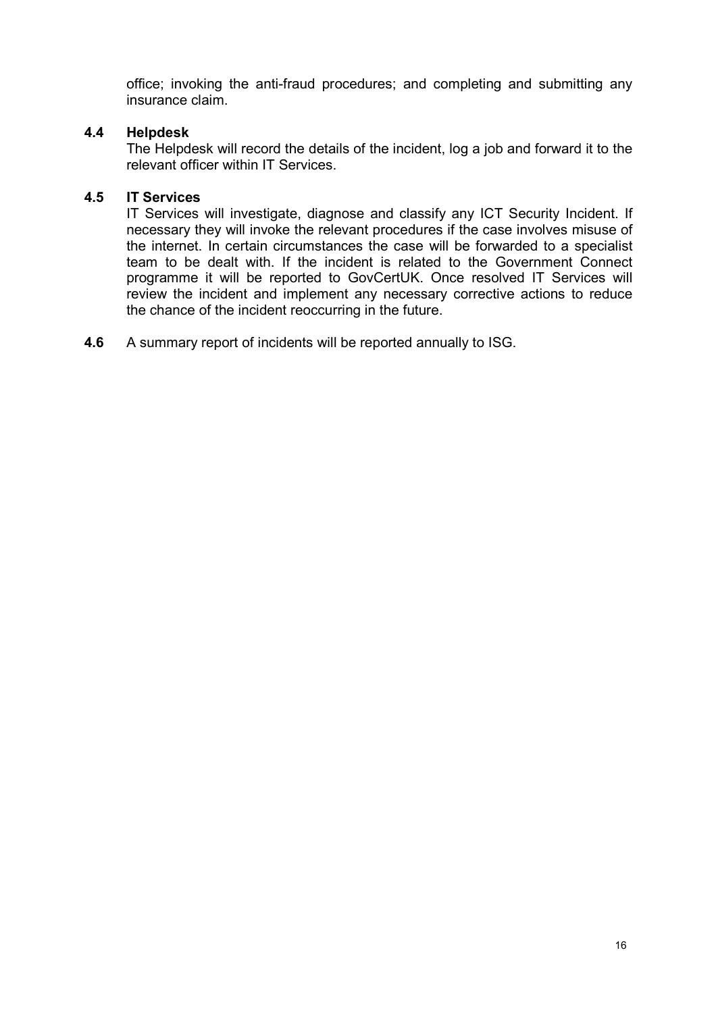office; invoking the anti-fraud procedures; and completing and submitting any insurance claim.

#### 4.4 Helpdesk

The Helpdesk will record the details of the incident, log a job and forward it to the relevant officer within IT Services.

#### 4.5 IT Services

IT Services will investigate, diagnose and classify any ICT Security Incident. If necessary they will invoke the relevant procedures if the case involves misuse of the internet. In certain circumstances the case will be forwarded to a specialist team to be dealt with. If the incident is related to the Government Connect programme it will be reported to GovCertUK. Once resolved IT Services will review the incident and implement any necessary corrective actions to reduce the chance of the incident reoccurring in the future.

4.6 A summary report of incidents will be reported annually to ISG.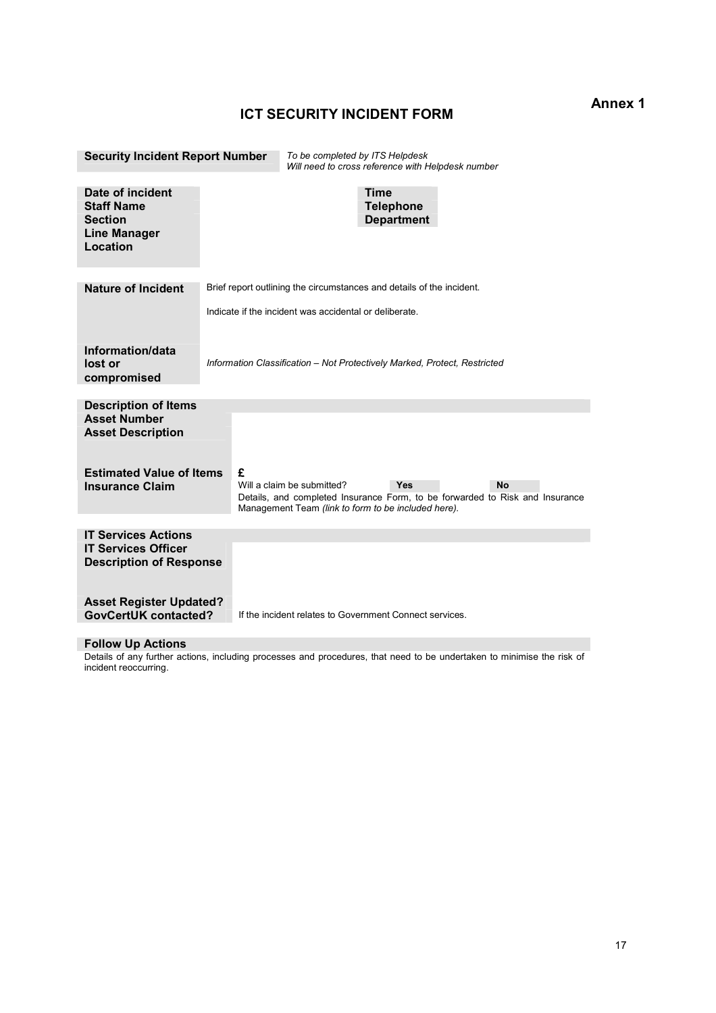#### ICT SECURITY INCIDENT FORM

Security Incident Report Number To be completed by ITS Helpdesk Will need to cross reference with Helpdesk number Date of incident the staff Name of the Contract of the Contract of the Time of the Telephone of Time of the Telephone **Staff Name**<br>Section **Department** Line Manager Location Nature of Incident Brief report outlining the circumstances and details of the incident. Indicate if the incident was accidental or deliberate. Information/data lost or compromised Information Classification – Not Protectively Marked, Protect, Restricted Description of Items Asset Number Asset Description Estimated Value of Items £ **Insurance Claim** Will a claim be submitted? Wes No Insurance Claim Details, and completed Insurance Form, to be forwarded to Risk and Insurance Management Team (link to form to be included here). IT Services Actions IT Services Officer Description of Response Asset Register Updated?<br>GovCertUK contacted? If the incident relates to Government Connect services. Follow Up Actions

Details of any further actions, including processes and procedures, that need to be undertaken to minimise the risk of incident reoccurring.

#### Annex 1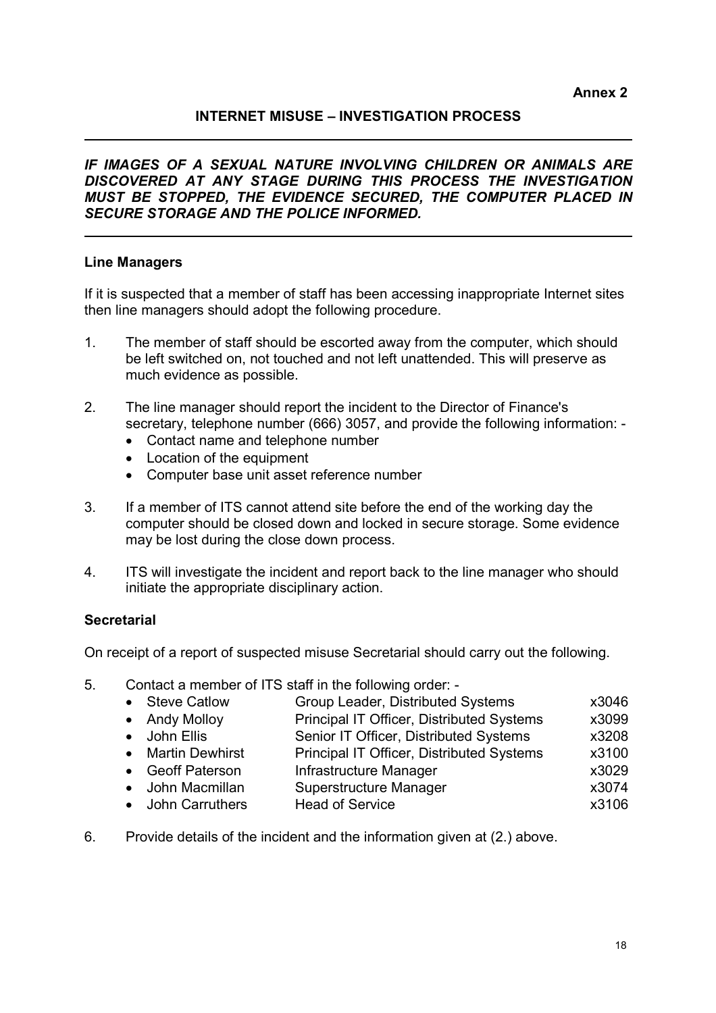### INTERNET MISUSE – INVESTIGATION PROCESS

IF IMAGES OF A SEXUAL NATURE INVOLVING CHILDREN OR ANIMALS ARE DISCOVERED AT ANY STAGE DURING THIS PROCESS THE INVESTIGATION MUST BE STOPPED, THE EVIDENCE SECURED, THE COMPUTER PLACED IN SECURE STORAGE AND THE POLICE INFORMED.

#### Line Managers

 $\overline{a}$ 

 $\overline{a}$ 

If it is suspected that a member of staff has been accessing inappropriate Internet sites then line managers should adopt the following procedure.

- 1. The member of staff should be escorted away from the computer, which should be left switched on, not touched and not left unattended. This will preserve as much evidence as possible.
- 2. The line manager should report the incident to the Director of Finance's secretary, telephone number (666) 3057, and provide the following information: -
	- Contact name and telephone number
	- Location of the equipment
	- Computer base unit asset reference number
- 3. If a member of ITS cannot attend site before the end of the working day the computer should be closed down and locked in secure storage. Some evidence may be lost during the close down process.
- 4. ITS will investigate the incident and report back to the line manager who should initiate the appropriate disciplinary action.

#### **Secretarial**

On receipt of a report of suspected misuse Secretarial should carry out the following.

5. Contact a member of ITS staff in the following order: -

| • Steve Catlow    | Group Leader, Distributed Systems         | x3046 |
|-------------------|-------------------------------------------|-------|
| • Andy Molloy     | Principal IT Officer, Distributed Systems | x3099 |
| • John Ellis      | Senior IT Officer, Distributed Systems    | x3208 |
| • Martin Dewhirst | Principal IT Officer, Distributed Systems | x3100 |
| • Geoff Paterson  | Infrastructure Manager                    | x3029 |
| • John Macmillan  | Superstructure Manager                    | x3074 |
| • John Carruthers | <b>Head of Service</b>                    | x3106 |

6. Provide details of the incident and the information given at (2.) above.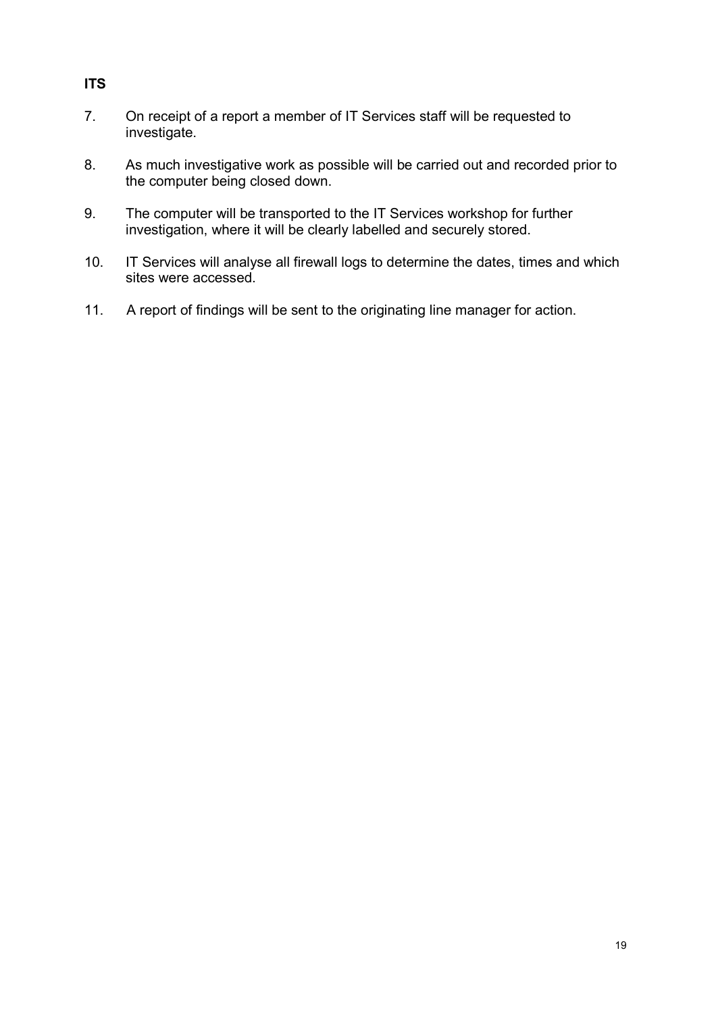# ITS

- 7. On receipt of a report a member of IT Services staff will be requested to investigate.
- 8. As much investigative work as possible will be carried out and recorded prior to the computer being closed down.
- 9. The computer will be transported to the IT Services workshop for further investigation, where it will be clearly labelled and securely stored.
- 10. IT Services will analyse all firewall logs to determine the dates, times and which sites were accessed.
- 11. A report of findings will be sent to the originating line manager for action.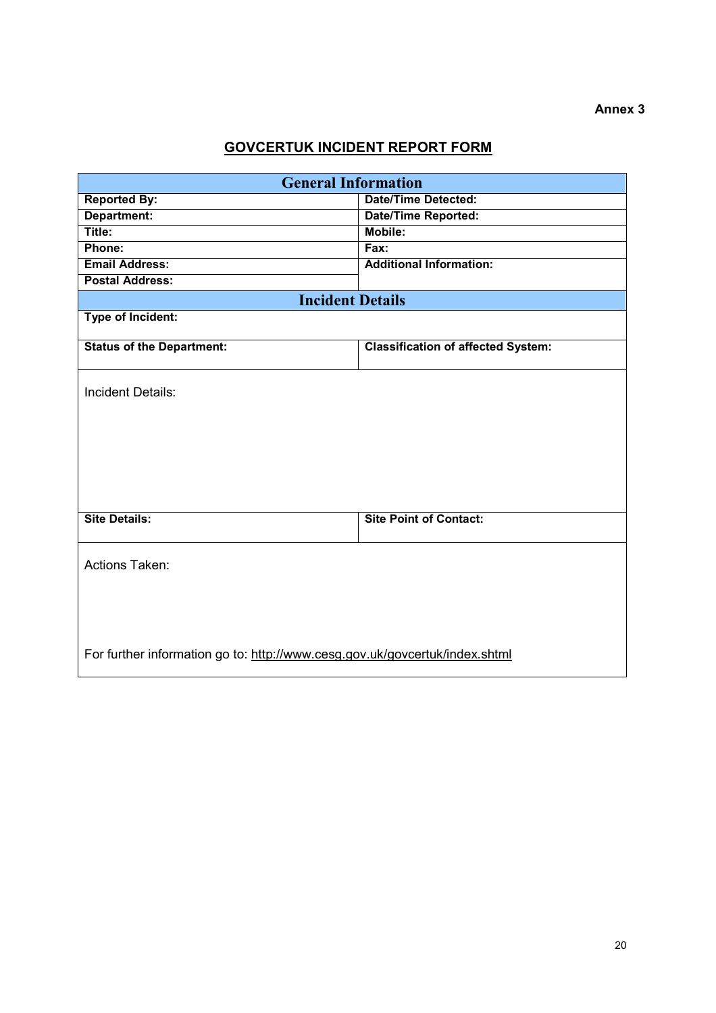# GOVCERTUK INCIDENT REPORT FORM

| <b>General Information</b>                                                  |                                           |  |  |
|-----------------------------------------------------------------------------|-------------------------------------------|--|--|
| <b>Reported By:</b>                                                         | <b>Date/Time Detected:</b>                |  |  |
| Department:                                                                 | <b>Date/Time Reported:</b>                |  |  |
| Title:                                                                      | Mobile:                                   |  |  |
| Phone:                                                                      | Fax:                                      |  |  |
| <b>Email Address:</b>                                                       | <b>Additional Information:</b>            |  |  |
| <b>Postal Address:</b>                                                      |                                           |  |  |
| <b>Incident Details</b>                                                     |                                           |  |  |
| <b>Type of Incident:</b>                                                    |                                           |  |  |
|                                                                             |                                           |  |  |
| <b>Status of the Department:</b>                                            | <b>Classification of affected System:</b> |  |  |
|                                                                             |                                           |  |  |
| <b>Incident Details:</b>                                                    |                                           |  |  |
|                                                                             |                                           |  |  |
|                                                                             |                                           |  |  |
|                                                                             |                                           |  |  |
|                                                                             |                                           |  |  |
|                                                                             |                                           |  |  |
|                                                                             |                                           |  |  |
|                                                                             |                                           |  |  |
| <b>Site Details:</b>                                                        | <b>Site Point of Contact:</b>             |  |  |
|                                                                             |                                           |  |  |
|                                                                             |                                           |  |  |
| Actions Taken:                                                              |                                           |  |  |
|                                                                             |                                           |  |  |
|                                                                             |                                           |  |  |
|                                                                             |                                           |  |  |
|                                                                             |                                           |  |  |
| For further information go to: http://www.cesg.gov.uk/govcertuk/index.shtml |                                           |  |  |
|                                                                             |                                           |  |  |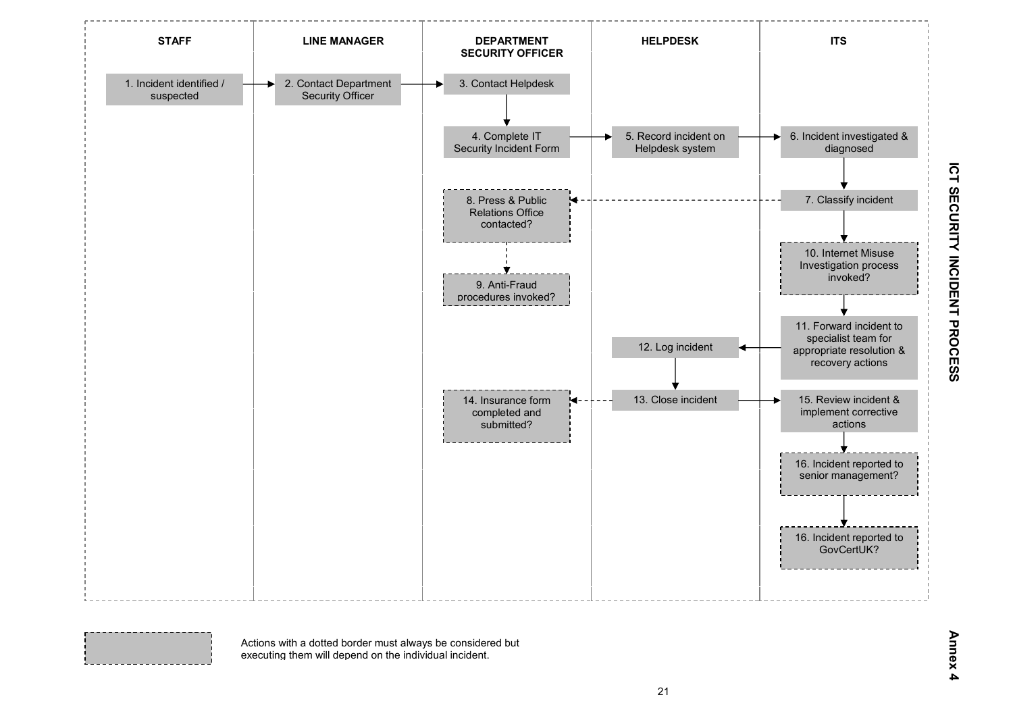

Annex 4

Actions with a dotted border must always be considered but executing them will depend on the individual incident.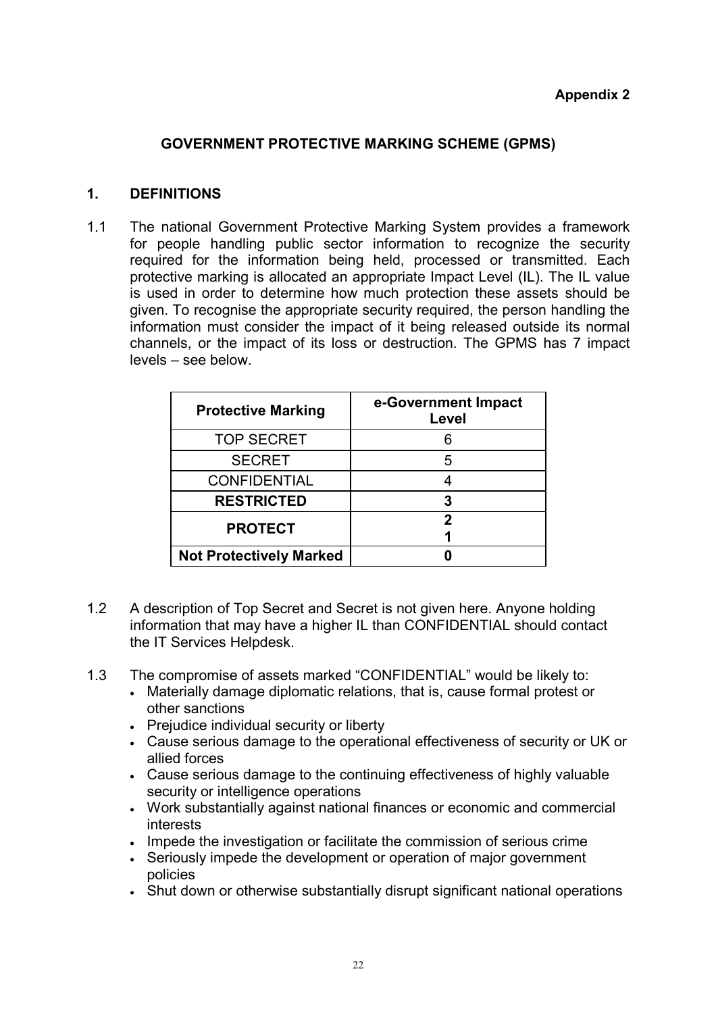# GOVERNMENT PROTECTIVE MARKING SCHEME (GPMS)

### 1. DEFINITIONS

1.1 The national Government Protective Marking System provides a framework for people handling public sector information to recognize the security required for the information being held, processed or transmitted. Each protective marking is allocated an appropriate Impact Level (IL). The IL value is used in order to determine how much protection these assets should be given. To recognise the appropriate security required, the person handling the information must consider the impact of it being released outside its normal channels, or the impact of its loss or destruction. The GPMS has 7 impact levels – see below.

| <b>Protective Marking</b>      | e-Government Impact<br>Level |
|--------------------------------|------------------------------|
| <b>TOP SECRET</b>              |                              |
| <b>SECRET</b>                  |                              |
| <b>CONFIDENTIAL</b>            |                              |
| <b>RESTRICTED</b>              |                              |
| <b>PROTECT</b>                 |                              |
|                                |                              |
| <b>Not Protectively Marked</b> |                              |

- 1.2 A description of Top Secret and Secret is not given here. Anyone holding information that may have a higher IL than CONFIDENTIAL should contact the IT Services Helpdesk.
- 1.3 The compromise of assets marked "CONFIDENTIAL" would be likely to:
	- Materially damage diplomatic relations, that is, cause formal protest or other sanctions
	- Prejudice individual security or liberty
	- Cause serious damage to the operational effectiveness of security or UK or allied forces
	- Cause serious damage to the continuing effectiveness of highly valuable security or intelligence operations
	- Work substantially against national finances or economic and commercial interests
	- Impede the investigation or facilitate the commission of serious crime
	- Seriously impede the development or operation of major government policies
	- Shut down or otherwise substantially disrupt significant national operations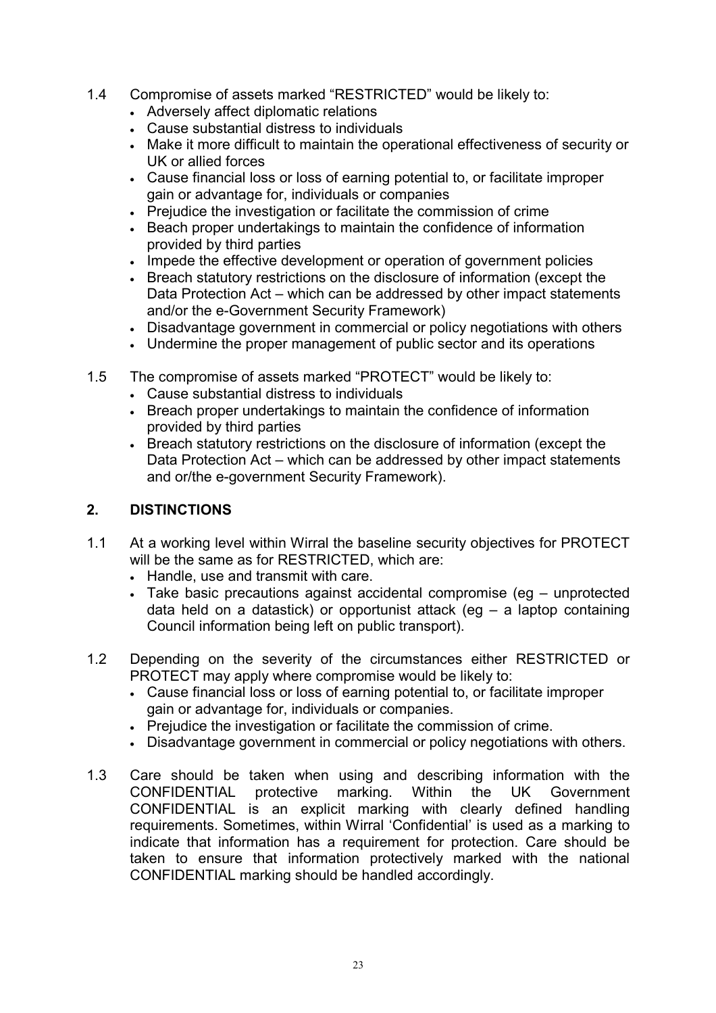- 1.4 Compromise of assets marked "RESTRICTED" would be likely to:
	- Adversely affect diplomatic relations
	- Cause substantial distress to individuals
	- Make it more difficult to maintain the operational effectiveness of security or UK or allied forces
	- Cause financial loss or loss of earning potential to, or facilitate improper gain or advantage for, individuals or companies
	- Prejudice the investigation or facilitate the commission of crime
	- Beach proper undertakings to maintain the confidence of information provided by third parties
	- Impede the effective development or operation of government policies
	- Breach statutory restrictions on the disclosure of information (except the Data Protection Act – which can be addressed by other impact statements and/or the e-Government Security Framework)
	- Disadvantage government in commercial or policy negotiations with others
	- Undermine the proper management of public sector and its operations
- 1.5 The compromise of assets marked "PROTECT" would be likely to:
	- Cause substantial distress to individuals
	- Breach proper undertakings to maintain the confidence of information provided by third parties
	- Breach statutory restrictions on the disclosure of information (except the Data Protection Act – which can be addressed by other impact statements and or/the e-government Security Framework).

# 2. DISTINCTIONS

- 1.1 At a working level within Wirral the baseline security objectives for PROTECT will be the same as for RESTRICTED, which are:
	- Handle, use and transmit with care.
	- Take basic precautions against accidental compromise (eg unprotected data held on a datastick) or opportunist attack (eg – a laptop containing Council information being left on public transport).
- 1.2 Depending on the severity of the circumstances either RESTRICTED or PROTECT may apply where compromise would be likely to:
	- Cause financial loss or loss of earning potential to, or facilitate improper gain or advantage for, individuals or companies.
	- Prejudice the investigation or facilitate the commission of crime.
	- Disadvantage government in commercial or policy negotiations with others.
- 1.3 Care should be taken when using and describing information with the CONFIDENTIAL protective marking. Within the UK Government CONFIDENTIAL is an explicit marking with clearly defined handling requirements. Sometimes, within Wirral 'Confidential' is used as a marking to indicate that information has a requirement for protection. Care should be taken to ensure that information protectively marked with the national CONFIDENTIAL marking should be handled accordingly.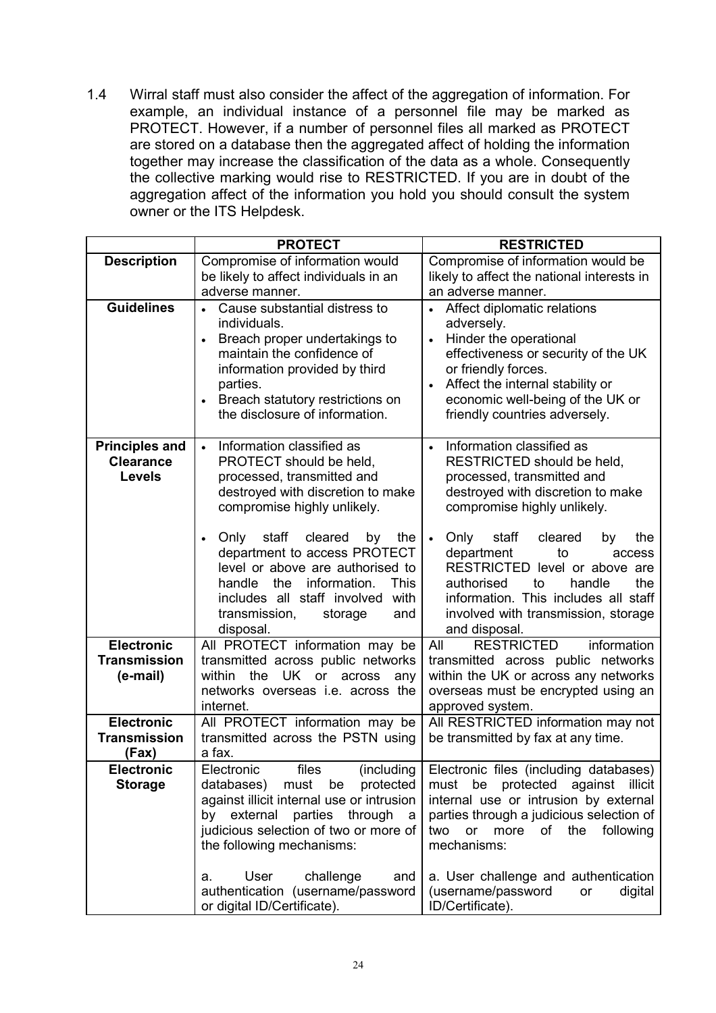1.4 Wirral staff must also consider the affect of the aggregation of information. For example, an individual instance of a personnel file may be marked as PROTECT. However, if a number of personnel files all marked as PROTECT are stored on a database then the aggregated affect of holding the information together may increase the classification of the data as a whole. Consequently the collective marking would rise to RESTRICTED. If you are in doubt of the aggregation affect of the information you hold you should consult the system owner or the ITS Helpdesk.

|                                                            | <b>PROTECT</b>                                                                                                                                                                                                                                                        | <b>RESTRICTED</b>                                                                                                                                                                                                                                                |
|------------------------------------------------------------|-----------------------------------------------------------------------------------------------------------------------------------------------------------------------------------------------------------------------------------------------------------------------|------------------------------------------------------------------------------------------------------------------------------------------------------------------------------------------------------------------------------------------------------------------|
| <b>Description</b>                                         | Compromise of information would                                                                                                                                                                                                                                       | Compromise of information would be                                                                                                                                                                                                                               |
|                                                            | be likely to affect individuals in an<br>adverse manner.                                                                                                                                                                                                              | likely to affect the national interests in<br>an adverse manner.                                                                                                                                                                                                 |
| <b>Guidelines</b>                                          | Cause substantial distress to<br>individuals.<br>Breach proper undertakings to<br>$\bullet$<br>maintain the confidence of<br>information provided by third<br>parties.<br>Breach statutory restrictions on                                                            | Affect diplomatic relations<br>adversely.<br>Hinder the operational<br>$\bullet$<br>effectiveness or security of the UK<br>or friendly forces.<br>Affect the internal stability or<br>economic well-being of the UK or                                           |
|                                                            | the disclosure of information.                                                                                                                                                                                                                                        | friendly countries adversely.                                                                                                                                                                                                                                    |
| <b>Principles and</b><br><b>Clearance</b><br><b>Levels</b> | Information classified as<br>$\bullet$<br>PROTECT should be held,<br>processed, transmitted and<br>destroyed with discretion to make<br>compromise highly unlikely.                                                                                                   | Information classified as<br>RESTRICTED should be held,<br>processed, transmitted and<br>destroyed with discretion to make<br>compromise highly unlikely.                                                                                                        |
|                                                            | staff<br>Only<br>cleared<br>by<br>the<br>$\bullet$<br>department to access PROTECT<br>level or above are authorised to<br>the<br>information.<br><b>This</b><br>handle<br>includes all staff involved<br>with<br>transmission,<br>and<br>storage<br>disposal.         | Only<br>staff<br>cleared<br>the<br>by<br>department<br>to<br>access<br>RESTRICTED level or above are<br>authorised<br>the<br>to<br>handle<br>information. This includes all staff<br>involved with transmission, storage<br>and disposal.                        |
| <b>Electronic</b>                                          | All PROTECT information may be                                                                                                                                                                                                                                        | All<br><b>RESTRICTED</b><br>information                                                                                                                                                                                                                          |
| <b>Transmission</b>                                        | transmitted across public networks                                                                                                                                                                                                                                    | transmitted across public networks                                                                                                                                                                                                                               |
| (e-mail)                                                   | the UK or<br>within<br>across<br>any                                                                                                                                                                                                                                  | within the UK or across any networks                                                                                                                                                                                                                             |
|                                                            | networks overseas <i>i.e.</i> across the<br>internet.                                                                                                                                                                                                                 | overseas must be encrypted using an<br>approved system.                                                                                                                                                                                                          |
| <b>Electronic</b>                                          | All PROTECT information may be                                                                                                                                                                                                                                        | All RESTRICTED information may not                                                                                                                                                                                                                               |
| <b>Transmission</b>                                        | transmitted across the PSTN using                                                                                                                                                                                                                                     | be transmitted by fax at any time.                                                                                                                                                                                                                               |
| (Fax)                                                      | a fax.                                                                                                                                                                                                                                                                |                                                                                                                                                                                                                                                                  |
| <b>Electronic</b><br><b>Storage</b>                        | Electronic<br>(including<br>files<br>databases)<br>must<br>be<br>protected<br>against illicit internal use or intrusion<br>by external parties through<br>- a<br>judicious selection of two or more of<br>the following mechanisms:<br>User<br>challenge<br>and<br>а. | Electronic files (including databases)<br>must be protected against illicit<br>internal use or intrusion by external<br>parties through a judicious selection of<br>more of the<br>two<br>or<br>following<br>mechanisms:<br>a. User challenge and authentication |
|                                                            | authentication (username/password<br>or digital ID/Certificate).                                                                                                                                                                                                      | (username/password<br>digital<br>or<br>ID/Certificate).                                                                                                                                                                                                          |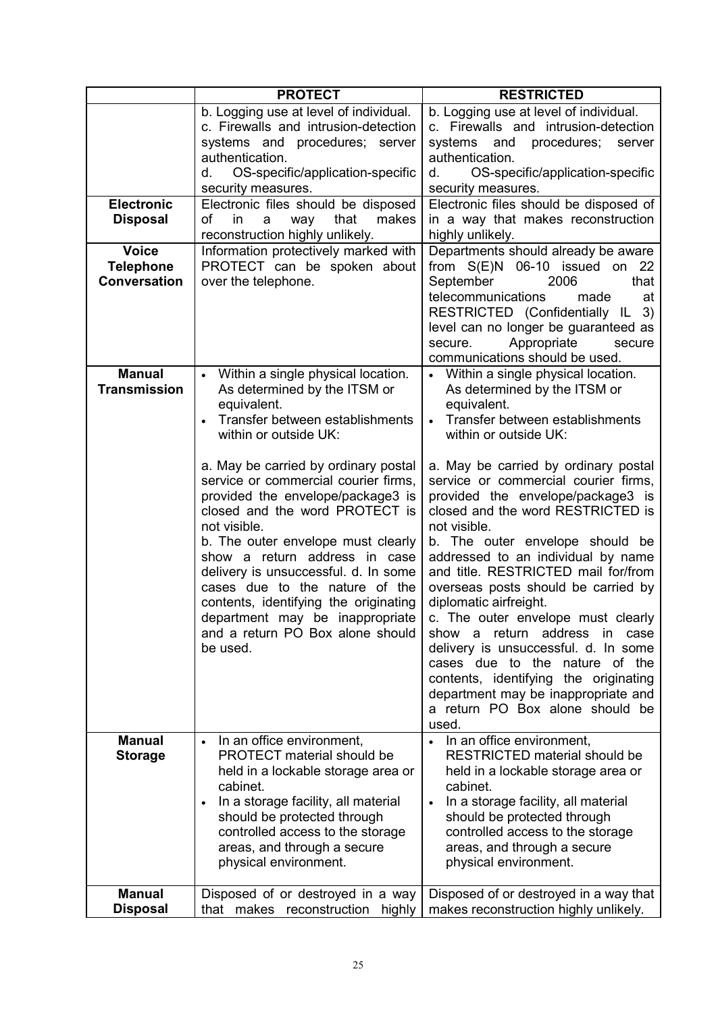|                                         | <b>PROTECT</b>                                                                                                                                                                                                                                                                                                                                                                                                                                                                                                                                                                                                 | <b>RESTRICTED</b>                                                                                                                                                                                                                                                                                                                                                                                                                                                                                                                                                                                                                                                                                                                                                                                |
|-----------------------------------------|----------------------------------------------------------------------------------------------------------------------------------------------------------------------------------------------------------------------------------------------------------------------------------------------------------------------------------------------------------------------------------------------------------------------------------------------------------------------------------------------------------------------------------------------------------------------------------------------------------------|--------------------------------------------------------------------------------------------------------------------------------------------------------------------------------------------------------------------------------------------------------------------------------------------------------------------------------------------------------------------------------------------------------------------------------------------------------------------------------------------------------------------------------------------------------------------------------------------------------------------------------------------------------------------------------------------------------------------------------------------------------------------------------------------------|
| <b>Electronic</b><br><b>Disposal</b>    | b. Logging use at level of individual.<br>c. Firewalls and intrusion-detection<br>systems and procedures; server<br>authentication.<br>OS-specific/application-specific<br>d.<br>security measures.<br>Electronic files should be disposed<br>of<br>that<br>makes<br>in<br>way<br>a<br>reconstruction highly unlikely.                                                                                                                                                                                                                                                                                         | b. Logging use at level of individual.<br>c. Firewalls and intrusion-detection<br>systems and procedures;<br>server<br>authentication.<br>OS-specific/application-specific<br>d.<br>security measures.<br>Electronic files should be disposed of<br>in a way that makes reconstruction<br>highly unlikely.                                                                                                                                                                                                                                                                                                                                                                                                                                                                                       |
| <b>Voice</b>                            | Information protectively marked with                                                                                                                                                                                                                                                                                                                                                                                                                                                                                                                                                                           | Departments should already be aware                                                                                                                                                                                                                                                                                                                                                                                                                                                                                                                                                                                                                                                                                                                                                              |
| <b>Telephone</b><br><b>Conversation</b> | PROTECT can be spoken about<br>over the telephone.                                                                                                                                                                                                                                                                                                                                                                                                                                                                                                                                                             | from S(E)N 06-10 issued on 22<br>September<br>that<br>2006<br>telecommunications<br>made<br>at<br>RESTRICTED (Confidentially IL 3)<br>level can no longer be guaranteed as<br>Appropriate<br>secure.<br>secure<br>communications should be used.                                                                                                                                                                                                                                                                                                                                                                                                                                                                                                                                                 |
| <b>Manual</b><br><b>Transmission</b>    | Within a single physical location.<br>$\bullet$<br>As determined by the ITSM or<br>equivalent.<br>Transfer between establishments<br>within or outside UK:<br>a. May be carried by ordinary postal<br>service or commercial courier firms,<br>provided the envelope/package3 is<br>closed and the word PROTECT is<br>not visible.<br>b. The outer envelope must clearly<br>show a return address in case<br>delivery is unsuccessful. d. In some<br>cases due to the nature of the<br>contents, identifying the originating<br>department may be inappropriate<br>and a return PO Box alone should<br>be used. | • Within a single physical location.<br>As determined by the ITSM or<br>equivalent.<br>Transfer between establishments<br>within or outside UK:<br>a. May be carried by ordinary postal<br>service or commercial courier firms,<br>provided the envelope/package3 is<br>closed and the word RESTRICTED is<br>not visible.<br>b. The outer envelope should be<br>addressed to an individual by name<br>and title. RESTRICTED mail for/from<br>overseas posts should be carried by<br>diplomatic airfreight.<br>c. The outer envelope must clearly<br>address in<br>a return<br>show<br>case<br>delivery is unsuccessful. d. In some<br>cases due to the nature of the<br>contents, identifying the originating<br>department may be inappropriate and<br>a return PO Box alone should be<br>used. |
| <b>Manual</b><br><b>Storage</b>         | In an office environment,<br><b>PROTECT</b> material should be<br>held in a lockable storage area or<br>cabinet.<br>In a storage facility, all material<br>$\bullet$<br>should be protected through<br>controlled access to the storage<br>areas, and through a secure<br>physical environment.                                                                                                                                                                                                                                                                                                                | • In an office environment,<br><b>RESTRICTED material should be</b><br>held in a lockable storage area or<br>cabinet.<br>In a storage facility, all material<br>$\bullet$<br>should be protected through<br>controlled access to the storage<br>areas, and through a secure<br>physical environment.                                                                                                                                                                                                                                                                                                                                                                                                                                                                                             |
| <b>Manual</b><br><b>Disposal</b>        | Disposed of or destroyed in a way<br>that makes reconstruction<br>highly                                                                                                                                                                                                                                                                                                                                                                                                                                                                                                                                       | Disposed of or destroyed in a way that<br>makes reconstruction highly unlikely.                                                                                                                                                                                                                                                                                                                                                                                                                                                                                                                                                                                                                                                                                                                  |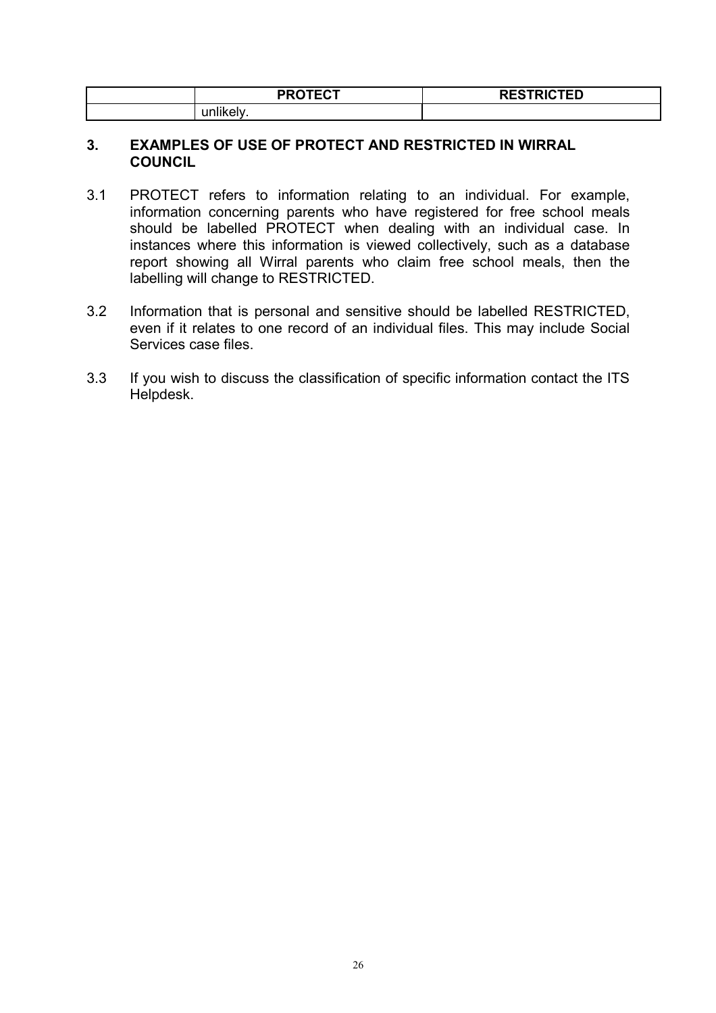| <b>PROTECT</b><br>- J                        | <b>RESTRICTED</b> |
|----------------------------------------------|-------------------|
| <b>Constitution of the Constitution</b><br>. |                   |

#### 3. EXAMPLES OF USE OF PROTECT AND RESTRICTED IN WIRRAL **COUNCIL**

- 3.1 PROTECT refers to information relating to an individual. For example, information concerning parents who have registered for free school meals should be labelled PROTECT when dealing with an individual case. In instances where this information is viewed collectively, such as a database report showing all Wirral parents who claim free school meals, then the labelling will change to RESTRICTED.
- 3.2 Information that is personal and sensitive should be labelled RESTRICTED, even if it relates to one record of an individual files. This may include Social Services case files.
- 3.3 If you wish to discuss the classification of specific information contact the ITS Helpdesk.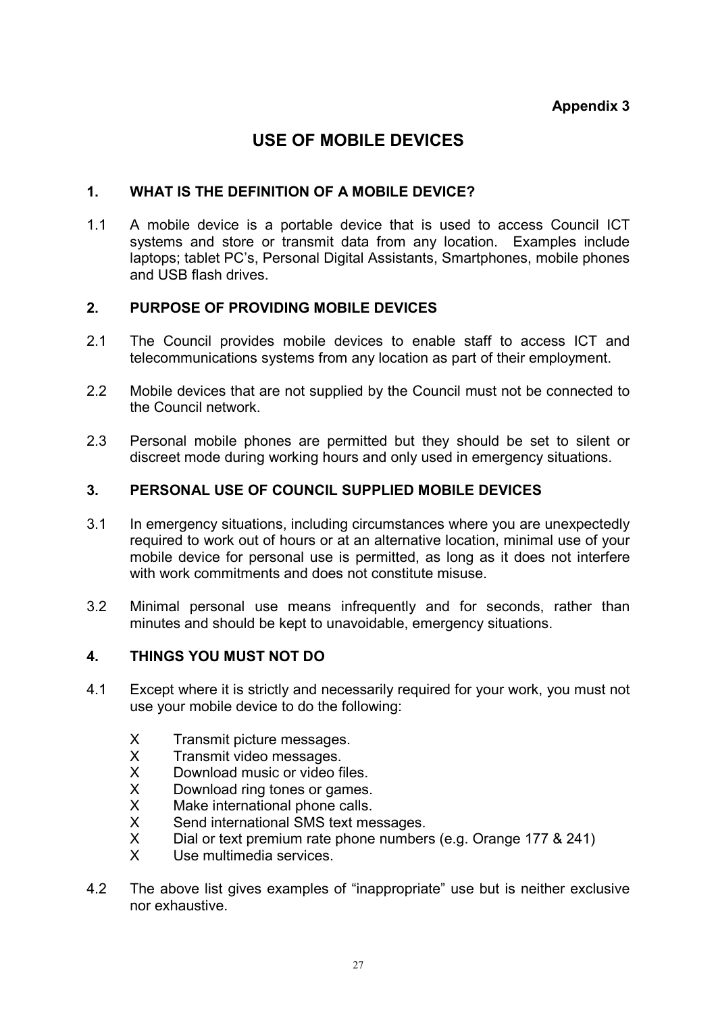# USE OF MOBILE DEVICES

#### 1. WHAT IS THE DEFINITION OF A MOBILE DEVICE?

1.1 A mobile device is a portable device that is used to access Council ICT systems and store or transmit data from any location. Examples include laptops; tablet PC's, Personal Digital Assistants, Smartphones, mobile phones and USB flash drives.

#### 2. PURPOSE OF PROVIDING MOBILE DEVICES

- 2.1 The Council provides mobile devices to enable staff to access ICT and telecommunications systems from any location as part of their employment.
- 2.2 Mobile devices that are not supplied by the Council must not be connected to the Council network.
- 2.3 Personal mobile phones are permitted but they should be set to silent or discreet mode during working hours and only used in emergency situations.

### 3. PERSONAL USE OF COUNCIL SUPPLIED MOBILE DEVICES

- 3.1 In emergency situations, including circumstances where you are unexpectedly required to work out of hours or at an alternative location, minimal use of your mobile device for personal use is permitted, as long as it does not interfere with work commitments and does not constitute misuse.
- 3.2 Minimal personal use means infrequently and for seconds, rather than minutes and should be kept to unavoidable, emergency situations.

#### 4. THINGS YOU MUST NOT DO

- 4.1 Except where it is strictly and necessarily required for your work, you must not use your mobile device to do the following:
	- X Transmit picture messages.
	- X Transmit video messages.<br>X Download music or video f
	- Download music or video files.
	- X Download ring tones or games.
	- X Make international phone calls.
	- X Send international SMS text messages.
	- X Dial or text premium rate phone numbers (e.g. Orange 177 & 241)
	- X Use multimedia services.
- 4.2 The above list gives examples of "inappropriate" use but is neither exclusive nor exhaustive.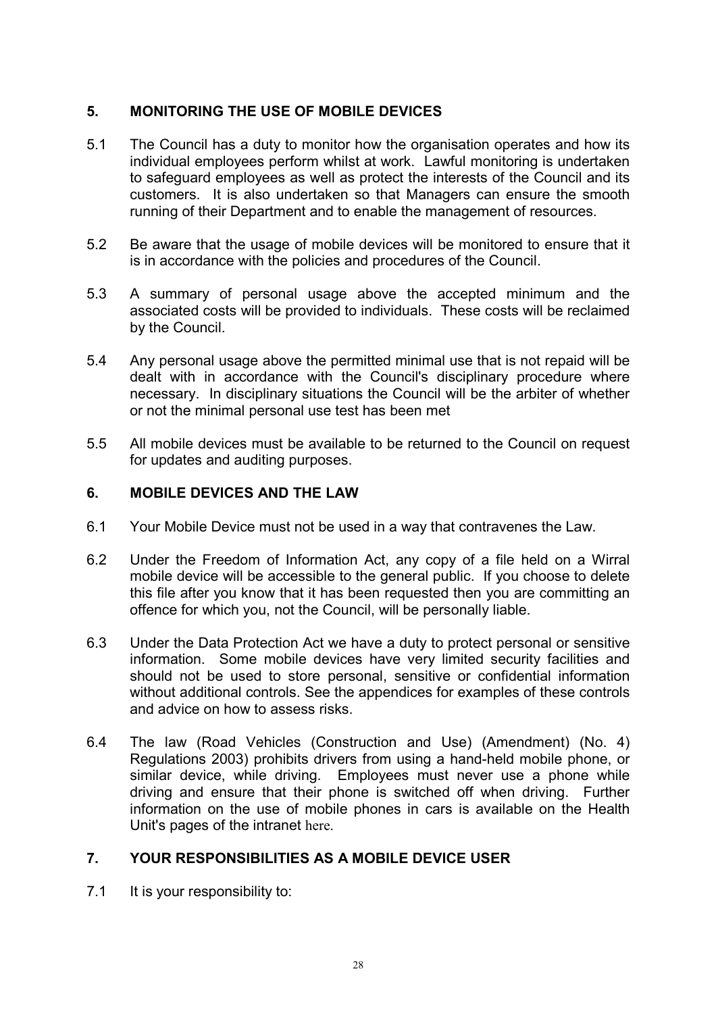# 5. MONITORING THE USE OF MOBILE DEVICES

- 5.1 The Council has a duty to monitor how the organisation operates and how its individual employees perform whilst at work. Lawful monitoring is undertaken to safeguard employees as well as protect the interests of the Council and its customers. It is also undertaken so that Managers can ensure the smooth running of their Department and to enable the management of resources.
- 5.2 Be aware that the usage of mobile devices will be monitored to ensure that it is in accordance with the policies and procedures of the Council.
- 5.3 A summary of personal usage above the accepted minimum and the associated costs will be provided to individuals. These costs will be reclaimed by the Council.
- 5.4 Any personal usage above the permitted minimal use that is not repaid will be dealt with in accordance with the Council's disciplinary procedure where necessary. In disciplinary situations the Council will be the arbiter of whether or not the minimal personal use test has been met
- 5.5 All mobile devices must be available to be returned to the Council on request for updates and auditing purposes.

#### 6. MOBILE DEVICES AND THE LAW

- 6.1 Your Mobile Device must not be used in a way that contravenes the Law.
- 6.2 Under the Freedom of Information Act, any copy of a file held on a Wirral mobile device will be accessible to the general public. If you choose to delete this file after you know that it has been requested then you are committing an offence for which you, not the Council, will be personally liable.
- 6.3 Under the Data Protection Act we have a duty to protect personal or sensitive information. Some mobile devices have very limited security facilities and should not be used to store personal, sensitive or confidential information without additional controls. See the appendices for examples of these controls and advice on how to assess risks.
- 6.4 The law (Road Vehicles (Construction and Use) (Amendment) (No. 4) Regulations 2003) prohibits drivers from using a hand-held mobile phone, or similar device, while driving. Employees must never use a phone while driving and ensure that their phone is switched off when driving. Further information on the use of mobile phones in cars is available on the Health Unit's pages of the intranet here.

# 7. YOUR RESPONSIBILITIES AS A MOBILE DEVICE USER

7.1 It is your responsibility to: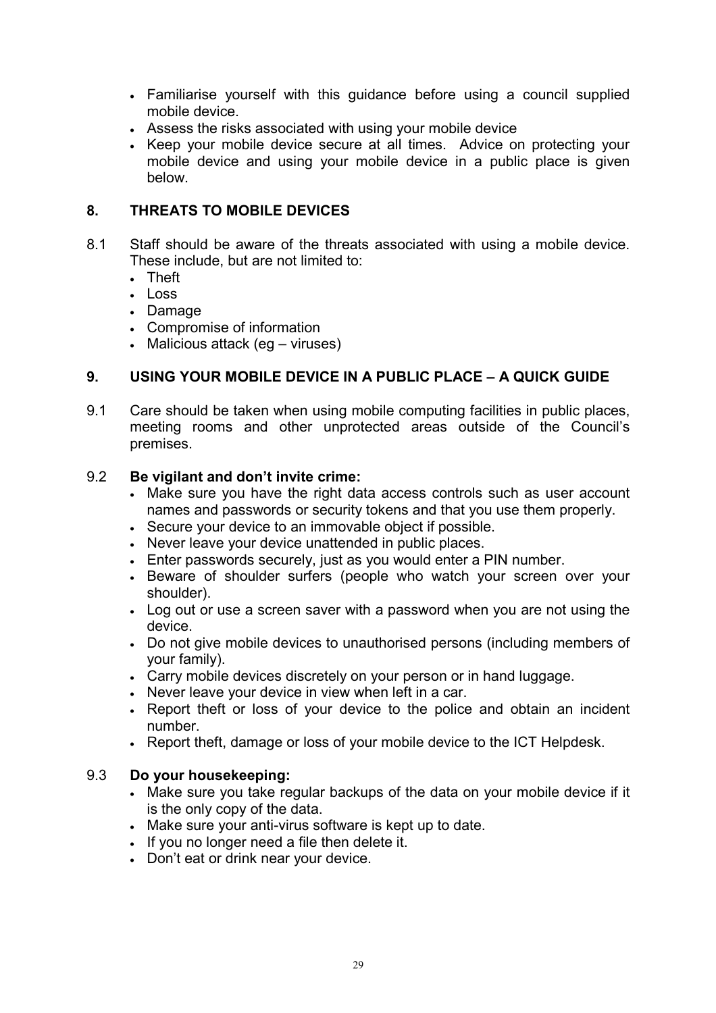- Familiarise yourself with this guidance before using a council supplied mobile device.
- Assess the risks associated with using your mobile device
- Keep your mobile device secure at all times. Advice on protecting your mobile device and using your mobile device in a public place is given below.

## 8. THREATS TO MOBILE DEVICES

- 8.1 Staff should be aware of the threats associated with using a mobile device. These include, but are not limited to:
	- Theft
	- Loss
	- Damage
	- Compromise of information
	- Malicious attack (eg viruses)

### 9. USING YOUR MOBILE DEVICE IN A PUBLIC PLACE – A QUICK GUIDE

9.1 Care should be taken when using mobile computing facilities in public places, meeting rooms and other unprotected areas outside of the Council's premises.

#### 9.2 Be vigilant and don't invite crime:

- Make sure you have the right data access controls such as user account names and passwords or security tokens and that you use them properly.
- Secure your device to an immovable object if possible.
- Never leave your device unattended in public places.
- Enter passwords securely, just as you would enter a PIN number.
- Beware of shoulder surfers (people who watch your screen over your shoulder).
- Log out or use a screen saver with a password when you are not using the device.
- Do not give mobile devices to unauthorised persons (including members of your family).
- Carry mobile devices discretely on your person or in hand luggage.
- Never leave your device in view when left in a car.
- Report theft or loss of your device to the police and obtain an incident number.
- Report theft, damage or loss of your mobile device to the ICT Helpdesk.

#### 9.3 Do your housekeeping:

- Make sure you take regular backups of the data on your mobile device if it is the only copy of the data.
- Make sure your anti-virus software is kept up to date.
- If you no longer need a file then delete it.
- Don't eat or drink near your device.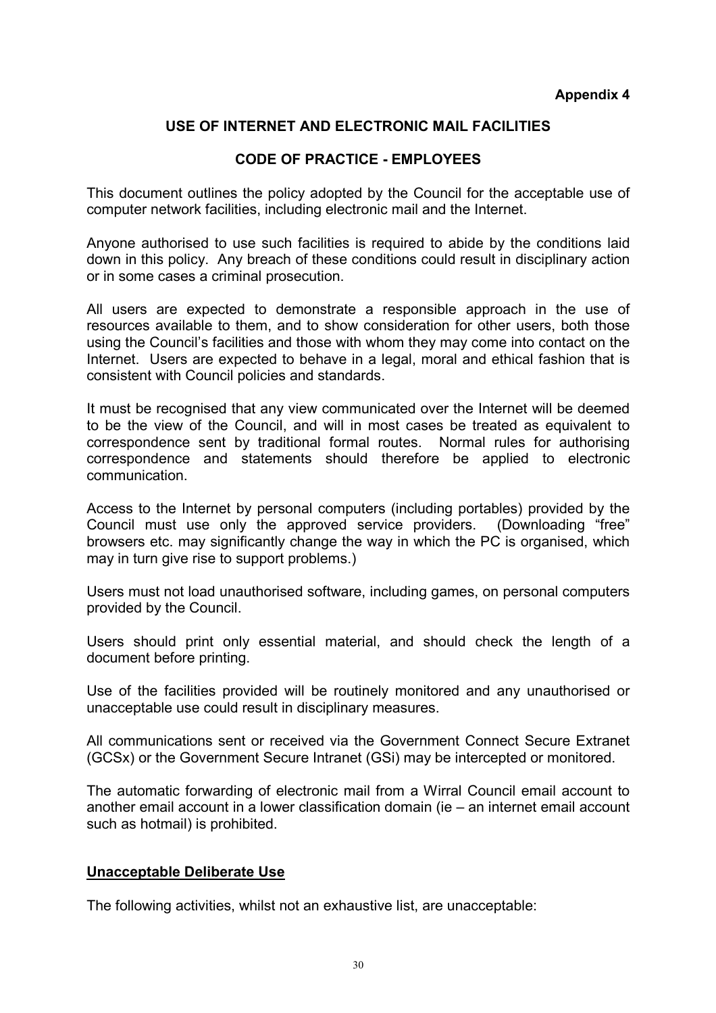# USE OF INTERNET AND ELECTRONIC MAIL FACILITIES

### CODE OF PRACTICE - EMPLOYEES

This document outlines the policy adopted by the Council for the acceptable use of computer network facilities, including electronic mail and the Internet.

Anyone authorised to use such facilities is required to abide by the conditions laid down in this policy. Any breach of these conditions could result in disciplinary action or in some cases a criminal prosecution.

All users are expected to demonstrate a responsible approach in the use of resources available to them, and to show consideration for other users, both those using the Council's facilities and those with whom they may come into contact on the Internet. Users are expected to behave in a legal, moral and ethical fashion that is consistent with Council policies and standards.

It must be recognised that any view communicated over the Internet will be deemed to be the view of the Council, and will in most cases be treated as equivalent to correspondence sent by traditional formal routes. Normal rules for authorising correspondence and statements should therefore be applied to electronic communication.

Access to the Internet by personal computers (including portables) provided by the Council must use only the approved service providers. (Downloading "free" browsers etc. may significantly change the way in which the PC is organised, which may in turn give rise to support problems.)

Users must not load unauthorised software, including games, on personal computers provided by the Council.

Users should print only essential material, and should check the length of a document before printing.

Use of the facilities provided will be routinely monitored and any unauthorised or unacceptable use could result in disciplinary measures.

All communications sent or received via the Government Connect Secure Extranet (GCSx) or the Government Secure Intranet (GSi) may be intercepted or monitored.

The automatic forwarding of electronic mail from a Wirral Council email account to another email account in a lower classification domain (ie – an internet email account such as hotmail) is prohibited.

#### Unacceptable Deliberate Use

The following activities, whilst not an exhaustive list, are unacceptable: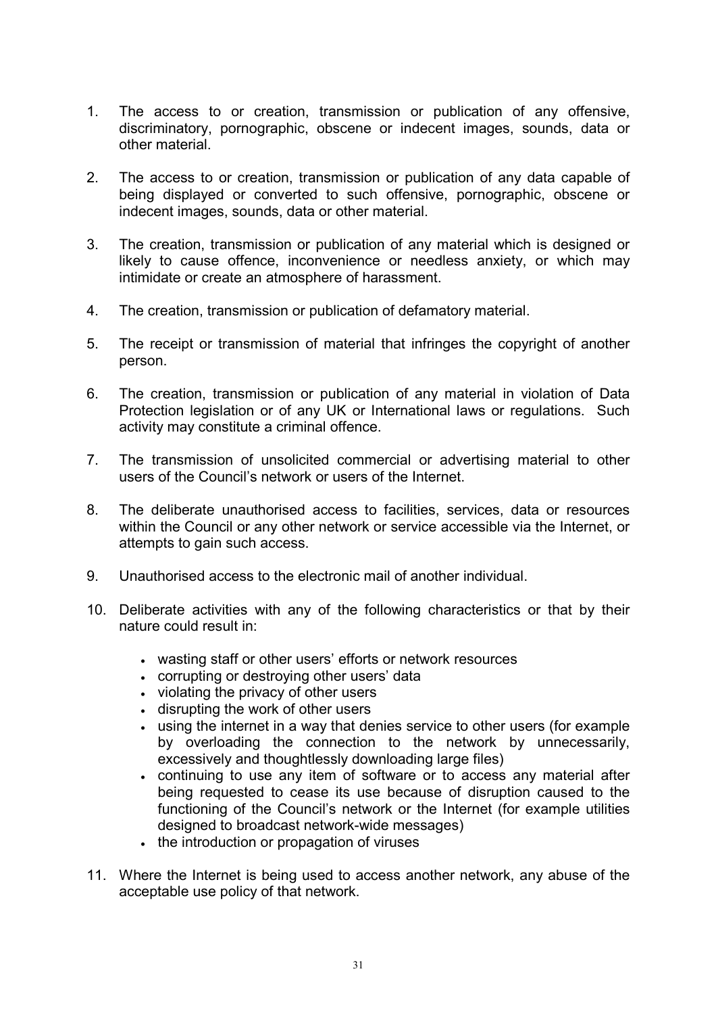- 1. The access to or creation, transmission or publication of any offensive, discriminatory, pornographic, obscene or indecent images, sounds, data or other material.
- 2. The access to or creation, transmission or publication of any data capable of being displayed or converted to such offensive, pornographic, obscene or indecent images, sounds, data or other material.
- 3. The creation, transmission or publication of any material which is designed or likely to cause offence, inconvenience or needless anxiety, or which may intimidate or create an atmosphere of harassment.
- 4. The creation, transmission or publication of defamatory material.
- 5. The receipt or transmission of material that infringes the copyright of another person.
- 6. The creation, transmission or publication of any material in violation of Data Protection legislation or of any UK or International laws or regulations. Such activity may constitute a criminal offence.
- 7. The transmission of unsolicited commercial or advertising material to other users of the Council's network or users of the Internet.
- 8. The deliberate unauthorised access to facilities, services, data or resources within the Council or any other network or service accessible via the Internet, or attempts to gain such access.
- 9. Unauthorised access to the electronic mail of another individual.
- 10. Deliberate activities with any of the following characteristics or that by their nature could result in:
	- wasting staff or other users' efforts or network resources
	- corrupting or destroying other users' data
	- violating the privacy of other users
	- disrupting the work of other users
	- using the internet in a way that denies service to other users (for example by overloading the connection to the network by unnecessarily, excessively and thoughtlessly downloading large files)
	- continuing to use any item of software or to access any material after being requested to cease its use because of disruption caused to the functioning of the Council's network or the Internet (for example utilities designed to broadcast network-wide messages)
	- the introduction or propagation of viruses
- 11. Where the Internet is being used to access another network, any abuse of the acceptable use policy of that network.